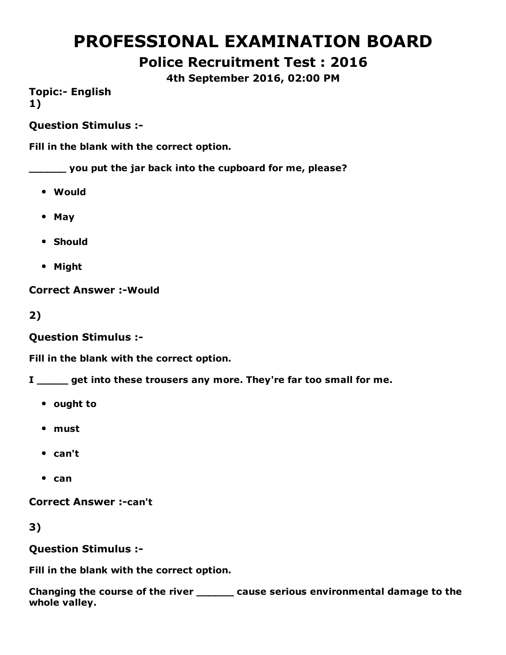# PROFESSIONAL EXAMINATION BOARD

Police Recruitment Test : 2016

4th September 2016, 02:00 PM

**Topic:- English** 1)

Question Stimulus :

Fill in the blank with the correct option.

\_\_\_\_\_\_ you put the jar back into the cupboard for me, please?

- Would
- May
- Should
- Might

**Correct Answer :- Would** 

2)

Question Stimulus :

Fill in the blank with the correct option.

I same get into these trousers any more. They're far too small for me.

- ought to
- must
- can't
- $•$  can

**Correct Answer :-can't** 

3)

Question Stimulus :

Fill in the blank with the correct option.

Changing the course of the river \_\_\_\_\_\_ cause serious environmental damage to the whole valley.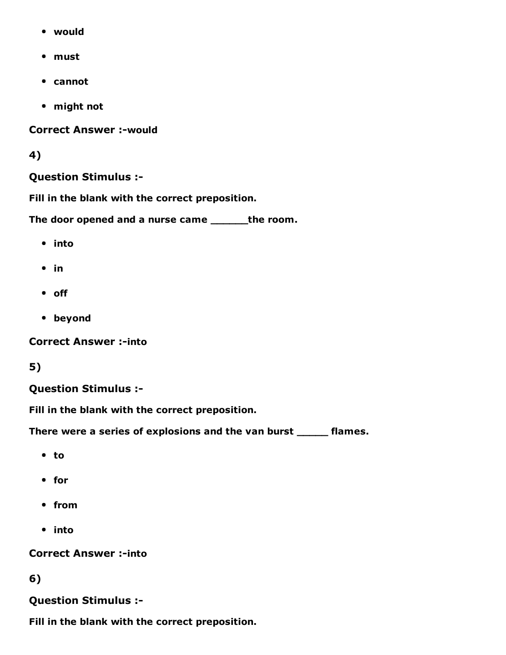- would
- must
- cannot
- might not

**Correct Answer :-would** 

#### 4)

#### Question Stimulus :

Fill in the blank with the correct preposition.

The door opened and a nurse came \_\_\_\_\_\_the room.

- into
- $\bullet$  in
- off
- beyond

**Correct Answer :-into** 

### 5)

#### Question Stimulus :

Fill in the blank with the correct preposition.

There were a series of explosions and the van burst \_\_\_\_\_ flames.

- to
- for
- from
- into

#### **Correct Answer :-into**

#### 6)

### Question Stimulus :

Fill in the blank with the correct preposition.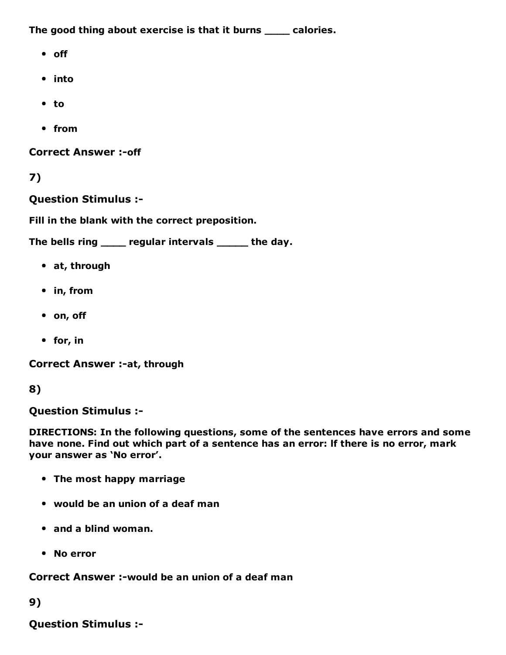The good thing about exercise is that it burns \_\_\_\_ calories.

- off
- into
- to
- from

**Correct Answer :- off** 

7)

Question Stimulus :

Fill in the blank with the correct preposition.

The bells ring \_\_\_\_ regular intervals \_\_\_\_\_ the day.

- at, through
- in, from
- on, off
- for, in

Correct Answer :- at, through

#### 8)

Question Stimulus :

DIRECTIONS: In the following questions, some of the sentences have errors and some have none. Find out which part of a sentence has an error: lf there is no error, mark your answer as 'No error'.

- The most happy marriage
- would be an union of a deaf man
- and a blind woman.
- No error

Correct Answer :-would be an union of a deaf man

#### 9)

Question Stimulus :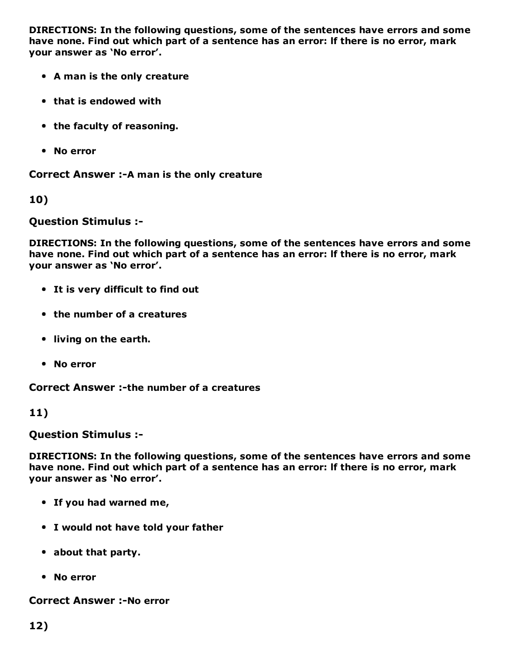DIRECTIONS: In the following questions, some of the sentences have errors and some have none. Find out which part of a sentence has an error: lf there is no error, mark your answer as 'No error'.

- A man is the only creature
- that is endowed with
- the faculty of reasoning.
- No error

Correct Answer :- A man is the only creature

10)

Question Stimulus :

DIRECTIONS: In the following questions, some of the sentences have errors and some have none. Find out which part of a sentence has an error: lf there is no error, mark your answer as 'No error'.

- It is very difficult to find out
- the number of a creatures
- living on the earth.
- No error

Correct Answer :-the number of a creatures

11)

Question Stimulus :

DIRECTIONS: In the following questions, some of the sentences have errors and some have none. Find out which part of a sentence has an error: lf there is no error, mark your answer as 'No error'.

- If you had warned me,
- I would not have told your father
- about that party.
- No error

**Correct Answer :-No error**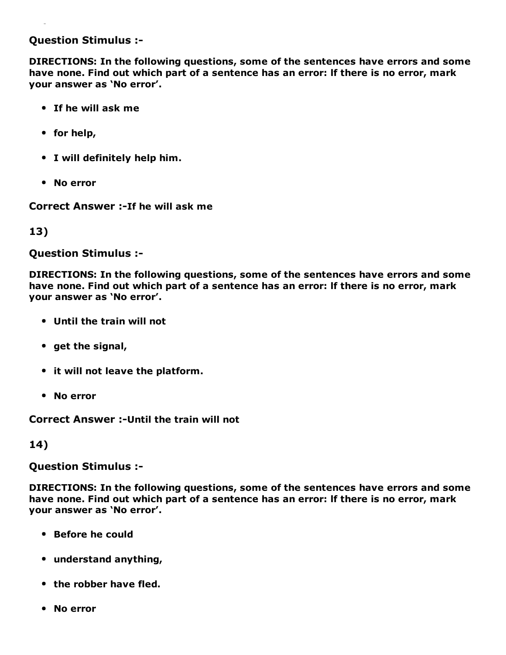#### Question Stimulus :

DIRECTIONS: In the following questions, some of the sentences have errors and some have none. Find out which part of a sentence has an error: lf there is no error, mark your answer as 'No error'.

- If he will ask me
- for help,
- I will definitely help him.
- No error

Correct Answer :-If he will ask me

13)

Question Stimulus :

DIRECTIONS: In the following questions, some of the sentences have errors and some have none. Find out which part of a sentence has an error: lf there is no error, mark your answer as 'No error'.

- Until the train will not
- $\bullet$  get the signal,
- it will not leave the platform.
- No error

Correct Answer :- Until the train will not

14)

Question Stimulus :

DIRECTIONS: In the following questions, some of the sentences have errors and some have none. Find out which part of a sentence has an error: lf there is no error, mark your answer as 'No error'.

- Before he could
- understand anything,
- the robber have fled.
- No error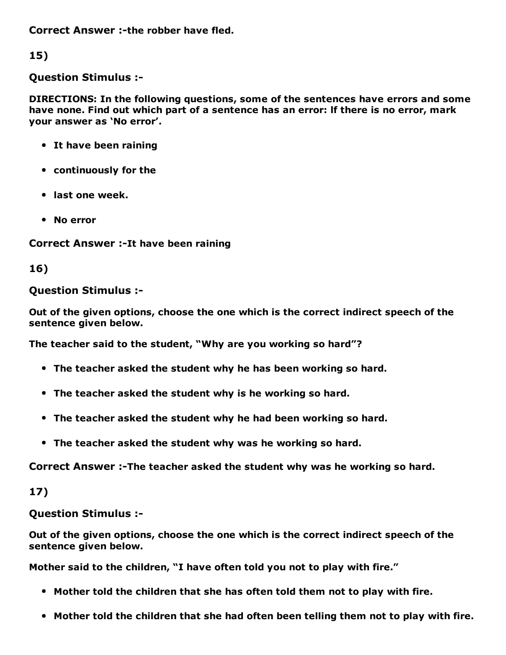Correct Answer :-the robber have fled.

15)

Question Stimulus :

DIRECTIONS: In the following questions, some of the sentences have errors and some have none. Find out which part of a sentence has an error: lf there is no error, mark your answer as 'No error'.

- It have been raining
- continuously for the
- last one week.
- No error

Correct Answer :-It have been raining

16)

### Question Stimulus :

Out of the given options, choose the one which is the correct indirect speech of the sentence given below.

The teacher said to the student, "Why are you working so hard"?

- The teacher asked the student why he has been working so hard.
- The teacher asked the student why is he working so hard.
- The teacher asked the student why he had been working so hard.
- The teacher asked the student why was he working so hard.

Correct Answer :-The teacher asked the student why was he working so hard.

17)

Question Stimulus :

Out of the given options, choose the one which is the correct indirect speech of the sentence given below.

Mother said to the children, "I have often told you not to play with fire."

- Mother told the children that she has often told them not to play with fire.
- Mother told the children that she had often been telling them not to play with fire.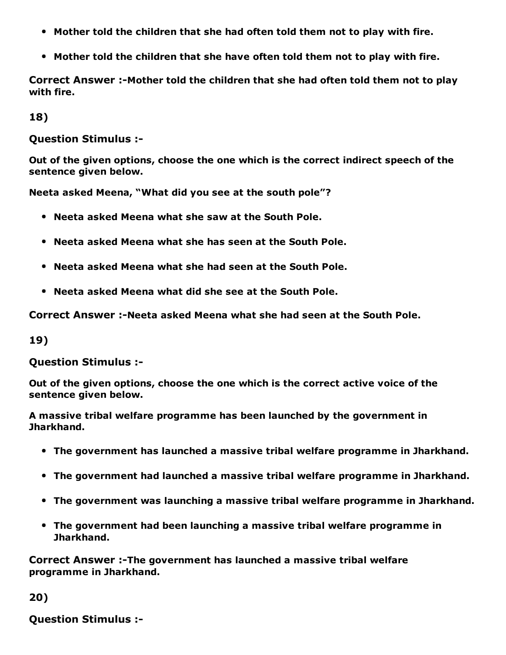- Mother told the children that she had often told them not to play with fire.
- Mother told the children that she have often told them not to play with fire.

Correct Answer :-Mother told the children that she had often told them not to play with fire.

18)

Question Stimulus :

Out of the given options, choose the one which is the correct indirect speech of the sentence given below.

Neeta asked Meena, "What did you see at the south pole"?

- Neeta asked Meena what she saw at the South Pole.
- Neeta asked Meena what she has seen at the South Pole.
- Neeta asked Meena what she had seen at the South Pole.
- Neeta asked Meena what did she see at the South Pole.

Correct Answer :-Neeta asked Meena what she had seen at the South Pole.

19)

Question Stimulus :

Out of the given options, choose the one which is the correct active voice of the sentence given below.

A massive tribal welfare programme has been launched by the government in Jharkhand.

- The government has launched a massive tribal welfare programme in Jharkhand.
- The government had launched a massive tribal welfare programme in Jharkhand.
- The government was launching a massive tribal welfare programme in Jharkhand.
- The government had been launching a massive tribal welfare programme in Jharkhand.

Correct Answer :-The government has launched a massive tribal welfare programme in Jharkhand.

20)

Question Stimulus :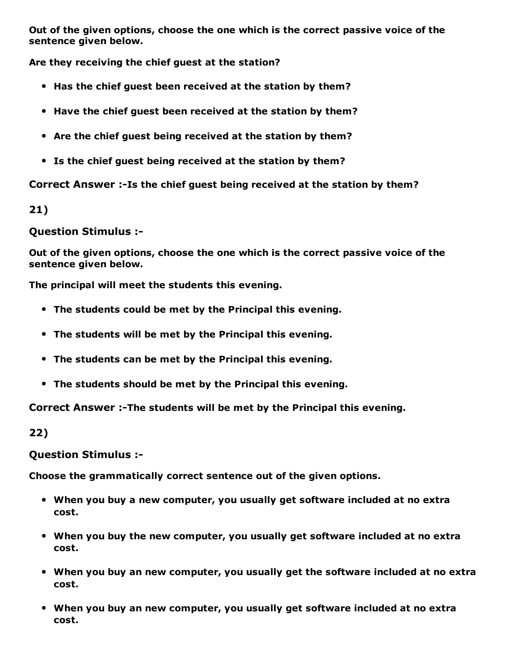Out of the given options, choose the one which is the correct passive voice of the sentence given below.

Are they receiving the chief guest at the station?

- Has the chief guest been received at the station by them?
- Have the chief guest been received at the station by them?
- Are the chief guest being received at the station by them?
- Is the chief guest being received at the station by them?

Correct Answer :-Is the chief guest being received at the station by them?

21)

#### Question Stimulus :

Out of the given options, choose the one which is the correct passive voice of the sentence given below.

The principal will meet the students this evening.

- The students could be met by the Principal this evening.
- The students will be met by the Principal this evening.
- The students can be met by the Principal this evening.
- The students should be met by the Principal this evening.

Correct Answer :-The students will be met by the Principal this evening.

22)

#### Question Stimulus :

Choose the grammatically correct sentence out of the given options.

- When you buy a new computer, you usually get software included at no extra cost.
- When you buy the new computer, you usually get software included at no extra cost.
- When you buy an new computer, you usually get the software included at no extra cost.
- When you buy an new computer, you usually get software included at no extra cost.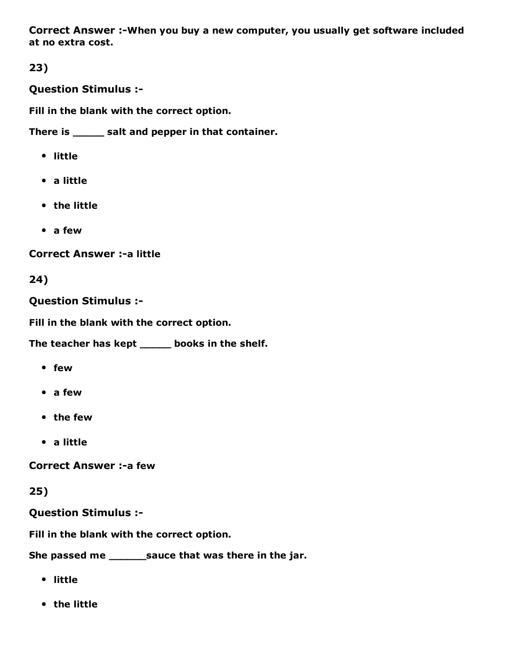Correct Answer :-When you buy a new computer, you usually get software included at no extra cost.

23)

Question Stimulus :

Fill in the blank with the correct option.

There is \_\_\_\_\_ salt and pepper in that container.

- little
- a little
- the little
- a few

**Correct Answer :- a little** 

24)

Question Stimulus :

Fill in the blank with the correct option.

The teacher has kept \_\_\_\_\_ books in the shelf.

- few
- a few
- the few
- a little

**Correct Answer :- a few** 

25)

Question Stimulus :

Fill in the blank with the correct option.

She passed me \_\_\_\_\_\_\_sauce that was there in the jar.

- little
- the little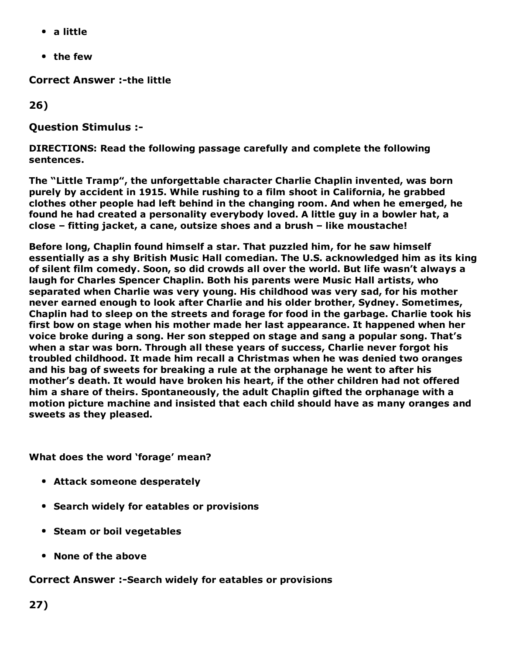- a little
- the few

**Correct Answer :-the little** 

26)

Question Stimulus :

DIRECTIONS: Read the following passage carefully and complete the following sentences.

The "Little Tramp", the unforgettable character Charlie Chaplin invented, was born purely by accident in 1915. While rushing to a film shoot in California, he grabbed clothes other people had left behind in the changing room. And when he emerged, he found he had created a personality everybody loved. A little guy in a bowler hat, a close – fitting jacket, a cane, outsize shoes and a brush – like moustache!

Before long, Chaplin found himself a star. That puzzled him, for he saw himself essentially as a shy British Music Hall comedian. The U.S. acknowledged him as its king of silent film comedy. Soon, so did crowds all over the world. But life wasn't always a laugh for Charles Spencer Chaplin. Both his parents were Music Hall artists, who separated when Charlie was very young. His childhood was very sad, for his mother never earned enough to look after Charlie and his older brother, Sydney. Sometimes, Chaplin had to sleep on the streets and forage for food in the garbage. Charlie took his first bow on stage when his mother made her last appearance. It happened when her voice broke during a song. Her son stepped on stage and sang a popular song. That's when a star was born. Through all these years of success, Charlie never forgot his troubled childhood. It made him recall a Christmas when he was denied two oranges and his bag of sweets for breaking a rule at the orphanage he went to after his mother's death. It would have broken his heart, if the other children had not offered him a share of theirs. Spontaneously, the adult Chaplin gifted the orphanage with a motion picture machine and insisted that each child should have as many oranges and sweets as they pleased.

What does the word 'forage' mean?

- Attack someone desperately
- Search widely for eatables or provisions
- Steam or boil vegetables
- None of the above

#### Correct Answer :- Search widely for eatables or provisions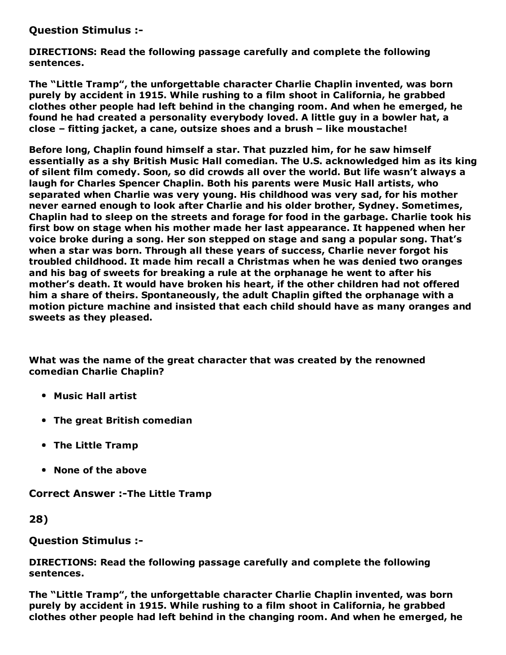Question Stimulus :

DIRECTIONS: Read the following passage carefully and complete the following sentences.

The "Little Tramp", the unforgettable character Charlie Chaplin invented, was born purely by accident in 1915. While rushing to a film shoot in California, he grabbed clothes other people had left behind in the changing room. And when he emerged, he found he had created a personality everybody loved. A little guy in a bowler hat, a close – fitting jacket, a cane, outsize shoes and a brush – like moustache!

Before long, Chaplin found himself a star. That puzzled him, for he saw himself essentially as a shy British Music Hall comedian. The U.S. acknowledged him as its king of silent film comedy. Soon, so did crowds all over the world. But life wasn't always a laugh for Charles Spencer Chaplin. Both his parents were Music Hall artists, who separated when Charlie was very young. His childhood was very sad, for his mother never earned enough to look after Charlie and his older brother, Sydney. Sometimes, Chaplin had to sleep on the streets and forage for food in the garbage. Charlie took his first bow on stage when his mother made her last appearance. It happened when her voice broke during a song. Her son stepped on stage and sang a popular song. That's when a star was born. Through all these years of success, Charlie never forgot his troubled childhood. It made him recall a Christmas when he was denied two oranges and his bag of sweets for breaking a rule at the orphanage he went to after his mother's death. It would have broken his heart, if the other children had not offered him a share of theirs. Spontaneously, the adult Chaplin gifted the orphanage with a motion picture machine and insisted that each child should have as many oranges and sweets as they pleased.

What was the name of the great character that was created by the renowned comedian Charlie Chaplin?

- Music Hall artist
- The great British comedian
- The Little Tramp
- None of the above

Correct Answer :-The Little Tramp

28)

Question Stimulus :

DIRECTIONS: Read the following passage carefully and complete the following sentences.

The "Little Tramp", the unforgettable character Charlie Chaplin invented, was born purely by accident in 1915. While rushing to a film shoot in California, he grabbed clothes other people had left behind in the changing room. And when he emerged, he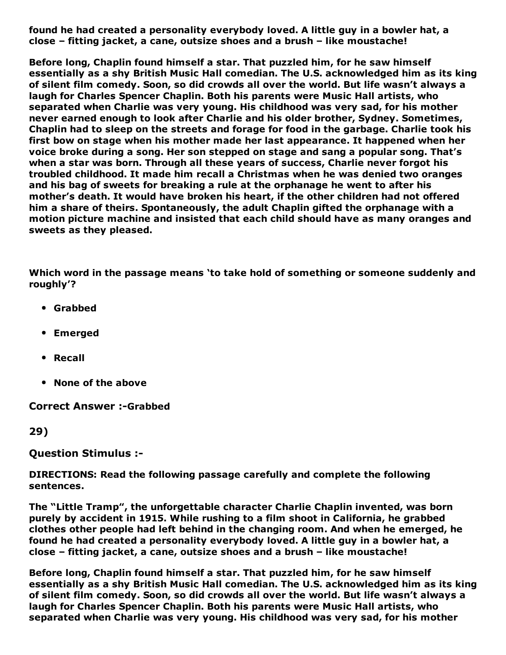found he had created a personality everybody loved. A little guy in a bowler hat, a close – fitting jacket, a cane, outsize shoes and a brush – like moustache!

Before long, Chaplin found himself a star. That puzzled him, for he saw himself essentially as a shy British Music Hall comedian. The U.S. acknowledged him as its king of silent film comedy. Soon, so did crowds all over the world. But life wasn't always a laugh for Charles Spencer Chaplin. Both his parents were Music Hall artists, who separated when Charlie was very young. His childhood was very sad, for his mother never earned enough to look after Charlie and his older brother, Sydney. Sometimes, Chaplin had to sleep on the streets and forage for food in the garbage. Charlie took his first bow on stage when his mother made her last appearance. It happened when her voice broke during a song. Her son stepped on stage and sang a popular song. That's when a star was born. Through all these years of success, Charlie never forgot his troubled childhood. It made him recall a Christmas when he was denied two oranges and his bag of sweets for breaking a rule at the orphanage he went to after his mother's death. It would have broken his heart, if the other children had not offered him a share of theirs. Spontaneously, the adult Chaplin gifted the orphanage with a motion picture machine and insisted that each child should have as many oranges and sweets as they pleased.

Which word in the passage means 'to take hold of something or someone suddenly and roughly'?

- Grabbed
- Emerged
- Recall
- None of the above

**Correct Answer :-Grabbed** 

29)

Question Stimulus :

DIRECTIONS: Read the following passage carefully and complete the following sentences.

The "Little Tramp", the unforgettable character Charlie Chaplin invented, was born purely by accident in 1915. While rushing to a film shoot in California, he grabbed clothes other people had left behind in the changing room. And when he emerged, he found he had created a personality everybody loved. A little guy in a bowler hat, a close – fitting jacket, a cane, outsize shoes and a brush – like moustache!

Before long, Chaplin found himself a star. That puzzled him, for he saw himself essentially as a shy British Music Hall comedian. The U.S. acknowledged him as its king of silent film comedy. Soon, so did crowds all over the world. But life wasn't always a laugh for Charles Spencer Chaplin. Both his parents were Music Hall artists, who separated when Charlie was very young. His childhood was very sad, for his mother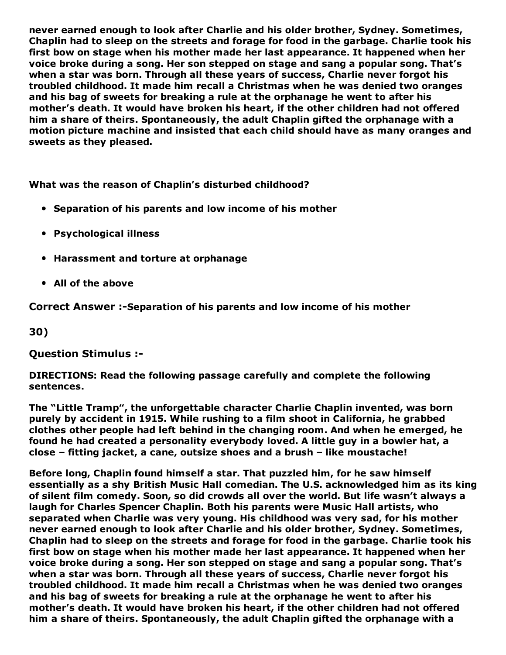never earned enough to look after Charlie and his older brother, Sydney. Sometimes, Chaplin had to sleep on the streets and forage for food in the garbage. Charlie took his first bow on stage when his mother made her last appearance. It happened when her voice broke during a song. Her son stepped on stage and sang a popular song. That's when a star was born. Through all these years of success, Charlie never forgot his troubled childhood. It made him recall a Christmas when he was denied two oranges and his bag of sweets for breaking a rule at the orphanage he went to after his mother's death. It would have broken his heart, if the other children had not offered him a share of theirs. Spontaneously, the adult Chaplin gifted the orphanage with a motion picture machine and insisted that each child should have as many oranges and sweets as they pleased.

What was the reason of Chaplin's disturbed childhood?

- Separation of his parents and low income of his mother
- Psychological illness
- Harassment and torture at orphanage
- All of the above

Correct Answer :-Separation of his parents and low income of his mother

30)

#### Question Stimulus :

DIRECTIONS: Read the following passage carefully and complete the following sentences.

The "Little Tramp", the unforgettable character Charlie Chaplin invented, was born purely by accident in 1915. While rushing to a film shoot in California, he grabbed clothes other people had left behind in the changing room. And when he emerged, he found he had created a personality everybody loved. A little guy in a bowler hat, a close – fitting jacket, a cane, outsize shoes and a brush – like moustache!

Before long, Chaplin found himself a star. That puzzled him, for he saw himself essentially as a shy British Music Hall comedian. The U.S. acknowledged him as its king of silent film comedy. Soon, so did crowds all over the world. But life wasn't always a laugh for Charles Spencer Chaplin. Both his parents were Music Hall artists, who separated when Charlie was very young. His childhood was very sad, for his mother never earned enough to look after Charlie and his older brother, Sydney. Sometimes, Chaplin had to sleep on the streets and forage for food in the garbage. Charlie took his first bow on stage when his mother made her last appearance. It happened when her voice broke during a song. Her son stepped on stage and sang a popular song. That's when a star was born. Through all these years of success, Charlie never forgot his troubled childhood. It made him recall a Christmas when he was denied two oranges and his bag of sweets for breaking a rule at the orphanage he went to after his mother's death. It would have broken his heart, if the other children had not offered him a share of theirs. Spontaneously, the adult Chaplin gifted the orphanage with a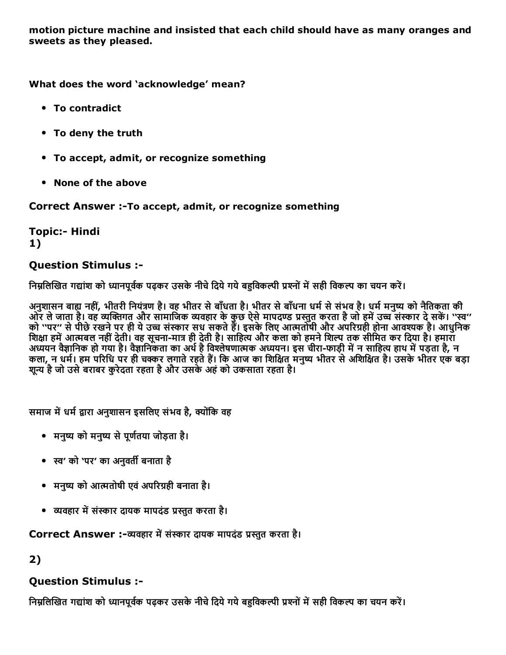motion picture machine and insisted that each child should have as many oranges and sweets as they pleased.

What does the word 'acknowledge' mean?

- To contradict
- To deny the truth
- To accept, admit, or recognize something
- None of the above

Correct Answer :-To accept, admit, or recognize something

**Topic:- Hindi** 1)

#### Question Stimulus :

निम्नलिखित गद्यांश को ध्यानपूर्वक पढ़कर उसके नीचे दिये गये बहुविकल्पी प्रश्नों में सही विकल्प का चयन करें।

अनुशासन बाह्य नहीं, भीतरी नियंत्रण है। वह भीतर से बाँधता है। भीतर से बाँधना धर्म से संभव है। धर्म मनुष्य को नैतिकता की ओर ले जाता है। वह व्यक्तिगत और सामाजिक व्यवहार के कुछ ऐसे मापदण्ड प्रस्तुत करता है जो हमें उच्च संस्कार दे सकें। ''स्व'' को ''पर'' से पीछे रखने पर ही ये उच्च संस्कार सध सकते हैं। इसके लिए आत्मतोषी और अपरिग्रही होना आवश्यक है। आधुनिक शिक्षा हमें आत्मबल नहीं देती। वह सूचना-मात्र ही देती है। साहित्य और कला को हमने शिल्प तक सीमित कर दिया है। हमारा ्यान्ति ।<br>अध्ययन वैज्ञानिक हो गया है। वैज्ञानिकता का अर्थ है विश्लेषणात्मक अध्ययन। इस चीरा-फाड़ी में न साहित्य हाथ में पड़ता है, न कला, न धर्म। हम परिधि पर ही चक्कर लगाते रहते हैं। कि आज का शिक्षित मनुष्य भीतर से अशिक्षित है। उसके भीतर एक बड़ा शून्य है जो उसे बराबर करेदता रहता है और उसके अहं को उकसाता रहता है।

समाज में धर्म द्वारा अनुशासन इसलिए संभव है, क्योंकि वह

- मनुष्य को मनुष्य से पूर्णतया जोड़ता है।
- स्व' को 'पर' का अनुवर्ती बनाता है
- मनुष्य को आत्मतोषी एवं अपरिग्रही बनाता है।
- व्यवहार में संस्कार दायक मापदंड प्रस्तुत करता है।

Correct Answer :-व्यवहार में संस्कार दायक मापदंड प्रस्तुत करता है।

2)

### Question Stimulus :

निम्नलिखित गद्यांश को ध्यानपूर्वक पढ़कर उसके नीचे दिये गये बहविकल्पी प्रश्नों में सही विकल्प का चयन करें।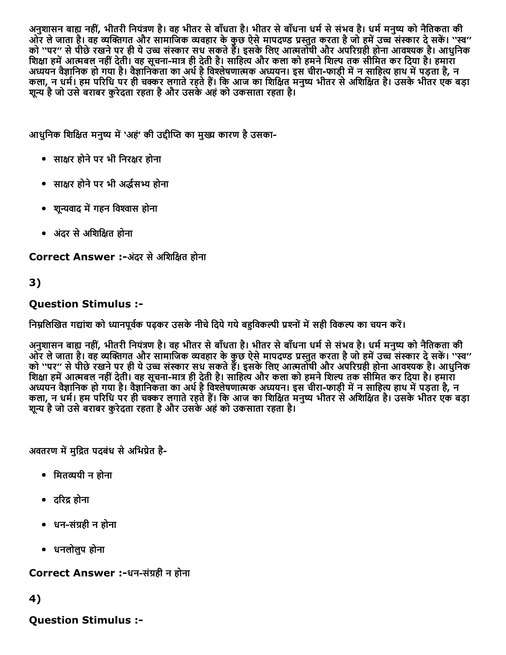अनुशासन बाह्य नहीं, भीतरी नियंत्रण है। वह भीतर से बाँधता है। भीतर से बाँधना धर्म से संभव है। धर्म मनुष्य को नैतिकता की ओर ले जाता है। वह व्यक्तिगत और सामाजिक व्यवहार के कुछ ऐसे मापदण्ड प्रस्तुत करता है जो हमें उच्च संस्कार दे सकें। ''स्व'' को ''पर'' से पीछे रखने पर ही ये उच्च संस्कार सध सकते हैं। इसके लिए आत्मतोषी और अपरिग्रही होना आवश्यक है। आधुनिक शिक्षा हमें आत्मबल नहीं देती। वह सूचना-मात्र ही देती है। साहित्य और कला को हमने शिल्प तक सीमित कर दिया है। हमारा अध्ययन वैज्ञानिक हो गया है। वैज्ञानिकता का अर्थ है विश्लेषणात्मक अध्ययन। इस चीरा-फाड़ी में न साहित्य हाथ में पड़ता है, न कला, न धर्म। हम परिधि पर ही चक्कर लगाते रहते हैं। कि आज का शिक्षित मनुष्य भीतर से अशिक्षित है। उसके भीतर एक बड़ा शून्य है जो उसे बराबर करेदता रहता है और उसके अहं को उकसाता रहता है।

आधुनिक शिक्षित मनुष्य में 'अहं' की उद्दीप्ति का मुख्य कारण है उसका-

- साक्षर होने पर भी निरक्षर होना
- साक्षर होने पर भी अर्द्धसभ्य होना
- शून्यवाद में गहन विश्वास होना
- अंदर से अशिक्षित होना

Correct Answer :-अंदर से अशिक्षित होना

### 3)

#### Question Stimulus :

निम्रलिखित गद्यांश को ध्यानपर्वक पढ़कर उसके नीचे दिये गये बहविकल्पी प्रश्नों में सही विकल्प का चयन करें।

अनुशासन बाह्य नहीं, भीतरी नियंत्रण है। वह भीतर से बाँधता है। भीतर से बाँधना धर्म से संभव है। धर्म मनुष्य को नैतिकता की ओर ले जाता है। वह व्यक्तिगत और सामाजिक व्यवहार के कुछ ऐसे मापदण्ड प्रस्तुत करता है जो हमें उच्च संस्कार दे सकें। ''स्व'' को ''पर'' से पीछे रखने पर ही ये उच्च संस्कार सध सकते हैं। इसके लिए आत्मतोषी और अपरिग्रही होना आवश्यक है। आधुनिक शिक्षा हमें आत्मबल नहीं देती। वह सूचना-मात्र ही देती है। साहित्य और कला को हमने शिल्प तक सीमित कर दिया है। हमारा अध्ययन वैज्ञानिक हो गया है। वैज्ञानिकता का अर्थ है विश्लेषणात्मक अध्ययन। इस चीरा-फाड़ी में न साहित्य हाथ में पड़ता है, न कला, न धर्म। हम परिधि पर ही चक्कर लगाते रहते हैं। कि आज का शिक्षित मनुष्य भीतर से अशिक्षित है। उसके भीतर एक बड़ा शून्य है जो उसे बराबर कुरेदता रहता है और उसके अहं को उकसाता रहता है।

अवतरण में मुद्रित पदबंध से अभिप्रेत है-

- मितव्ययी न होना
- दरिद्र होना
- धन-संग्रही न होना
- धनलोलुप होना

#### Correct Answer :-धन-संग्रही न होना

4)

Question Stimulus :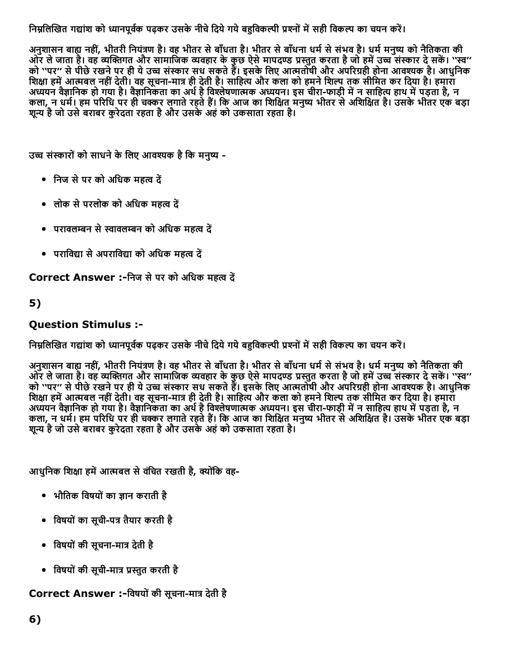निम्नलिखित गद्यांश को ध्यानपूर्वक पढ़कर उसके नीचे दिये गये बहुविकल्पी प्रश्नों में सही विकल्प का चयन करें।

अनुशासन बाह्य नहीं, भीतरी नियंत्रण है। वह भीतर से बाँधता है। भीतर से बाँधना धर्म से संभव है। धर्म मनुष्य को नैतिकता की ओर ले जाता है। वह व्यक्तिगत और सामाजिक व्यवहार के कुछ ऐसे मापदण्ड प्रस्तुत करता है जो हमें उच्च संस्कार दे सकें। ''स्व'' को ''पर'' से पीछे रखने पर ही ये उच्च संस्कार सध सकते हैं। इसके लिए आत्मतोषी और अपरिग्रही होना आवश्यक है। आधुनिक शिक्षा हमें आत्मबल नहीं देती। वह सूचना-मात्र ही देती है। साहित्य और कला को हमने शिल्प तक सीमित कर दिया है। हमारा अध्ययन वैज्ञानिक हो गया है। वैज्ञानिकता का अथे है विश्लेषणात्मक अध्ययन। इस चीरा-फाड़ी में न साहित्य हाथ में पड़ता है, न कला, न धर्म। हम परिधि पर ही चक्कर लगाते रहते हैं। कि आज का शिक्षित मनुष्य भीतर से अशिक्षित है। उसके भीतर एक बड़ा शून्य है जो उसे बराबर कुरेदता रहता है और उसके अहं को उकसाता रहता है।

उच्च संस्कारों को साधने के लिए आवश्यक है कि मनष्य -

- निज से पर को अधिक महत्व दें
- लोक से परलोक को अधिक महत्व दें
- परावलम्बन से स्वावलम्बन को अधिक महत्व दें
- पराविद्या से अपराविद्या को अधिक महत्व दें

Correct Answer :-निज से पर को अधिक महत्व दें

### 5)

### Question Stimulus :

निम्नलिखित गद्यांश को ध्यानपूर्वक पढ़कर उसके नीचे दिये गये बहविकल्पी प्रश्नों में सही विकल्प का चयन करें।

अनुशासन बाह्य नहीं, भीतरी नियंत्रण है। वह भीतर से बाँधता है। भीतर से बाँधना धर्म से संभव है। धर्म मनुष्य को नैतिकता की ओर ले जाता है। वह व्यक्तिगत और सामाजिक व्यवहार के कुछ ऐसे मापदण्ड प्रस्तुत करता है जो हमें उच्च संस्कार दे सकें। ''स्व'' को ''पर'' से पीछे रखने पर ही ये उच्च संस्कार सध सकते हैं। इसके लिए आत्मतोषी और अपरिग्रही होना आवश्यक है। आधुनिक शिक्षा हमें आत्मबल नहीं देती। वह सूचना-मात्र ही देती है। साहित्य और कला को हमने शिल्प तक सीमित कर दिया है। हमारा अध्ययन वैज्ञानिक हो गया है। वैज्ञानिकता का अर्थ है विश्लेषणात्मक अध्ययन। इस चीरा-फाड़ी में न साहित्य हाथ में पड़ता है, न कला, न धर्म। हम परिधि पर ही चक्कर लगाते रहते हैं। कि आज का शिक्षित मनुष्य भीतर से अशिक्षित है। उसके भीतर एक बड़ा शून्य है जो उसे बराबर कुरेदता रहता है और उसके अहं को उकसाता रहता है।

आधुनिक शिक्षा हमें आत्मबल से वंचित रखती है, क्योंकि वह-

- भौतिक विषयों का ज्ञान कराती है
- विषयों का सूची-पत्र तैयार करती है
- विषयों की सूचना-मात्र देती है
- विषयों की सूची-मात्र प्रस्तुत करती है

Correct Answer :-विषयों की सूचना-मात्र देती है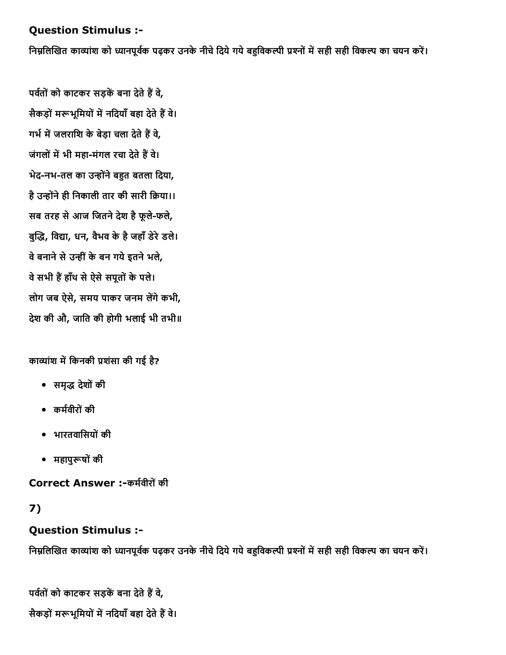#### Question Stimulus :

निम्नलिखित काव्यांश को ध्यानपूर्वक पढ़कर उनके नीचे दिये गये बहुविकल्पी प्रश्नों में सही सही विकल्प का चयन करें।

पर्वतों को काटकर सड़कें बना देते हैं वे, सैकड़ों मरूभूमियों में नदियाँ बहा देते हैं वे। गर्भ में जलराशि के बेड़ा चला देते हैं वे, जंगलों में भी महा-मंगल रचा देते हैं वे। भेद-नभ-तल का उन्होंने बहुत बतला दिया, है उन्होंने ही निकाली तार की सारी क्रिया।। सब तरह से आज जितने देश है फूले-फले, बुद्धि, विद्या, धन, वैभव के है जहाँ डेरे डले। वे बनाने से उन्हीं के बन गये इतने भले, वे सभी हैं हाँथ से ऐसे सपूतों के पले। लोग जब ऐसे, समय पाकर जनम लेंगे कभी, देश की औ, जाित की होगी भलाई भी तभी॥

काव्यांश में किनकी प्रशंसा की गई है?

- समृḀ㌅ देशोंकी
- कर्मवीरों की
- भारतवािसयोंकी
- महापुरूषों की

Correct Answer :-कर्मवीरों की

### 7)

### Question Stimulus :

निम्नलिखित काव्यांश को ध्यानपूर्वक पढ़कर उनके नीचे दिये गये बहुविकल्पी प्रश्नों में सही सही विकल्प का चयन करें।

पर्वतों को काटकर सड़कें बना देते हैं वे, सैकड़ों मरूभूमियों में नदियाँ बहा देते हैं वे।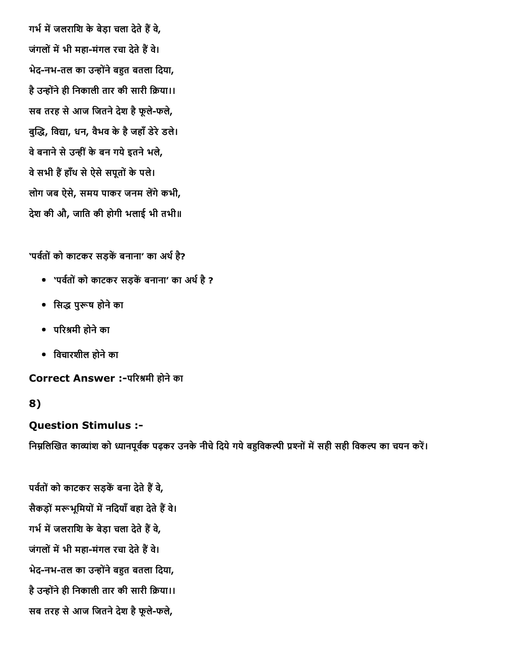गर्भ में जलराशि के बेड़ा चला देते हैं वे, जंगलों में भी महा-मंगल रचा देते हैं वे। भेद-नभ-तल का उन्होंने बहुत बतला दिया, है उन्होंने ही निकाली तार की सारी क्रिया।। सब तरह से आज जितने देश है फूले-फले, बुद्धि, विद्या, धन, वैभव के है जहाँ डेरे डले। वे बनाने से उन्हीं के बन गये इतने भले, वे सभी हैं हाँथ से ऐसे सपूतों के पले। लोग जब ऐसे, समय पाकर जनम लेंगे कभी, देश की औ, जाित की होगी भलाई भी तभी॥

'पर्वतों को काटकर सड़कें बनाना' का अर्थ है?

- 'पर्वतों को काटकर सड़कें बनाना' का अर्थ है ?
- सिद्ध पुरूष होने का
- परिश्रमी होने का
- िवचारशील होनेका

Correct Answer :-परिश्रमी होने का

### 8)

#### Question Stimulus :

निम्नलिखित काव्यांश को ध्यानपूर्वक पढ़कर उनके नीचे दिये गये बहुविकल्पी प्रश्नों में सही सही विकल्प का चयन करें।

पर्वतों को काटकर सड़कें बना देते हैं वे, सैकड़ों मरूभूमियों में नदियाँ बहा देते हैं वे। गर्भ में जलराशि के बेड़ा चला देते हैं वे, जंगलों में भी महा-मंगल रचा देते हैं वे। भेद-नभ-तल का उन्होंने बहुत बतला दिया, है उन्होंने ही निकाली तार की सारी क्रिया।। सब तरह से आज जितने देश है फूले-फले,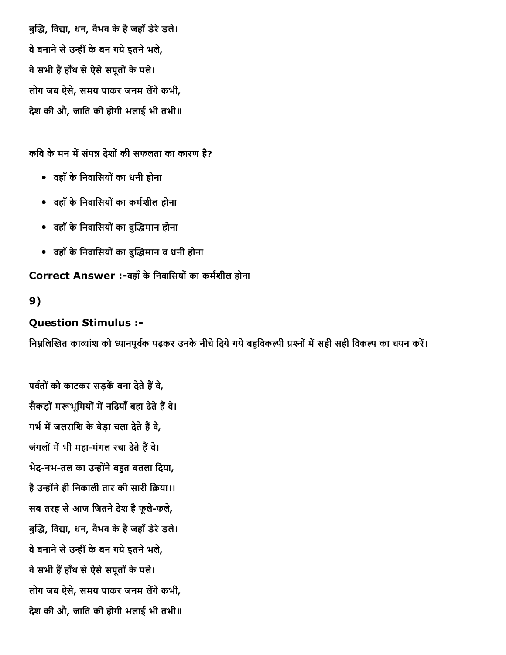बुद्धि, विद्या, धन, वैभव के है जहाँ डेरे डले। वे बनाने से उन्हीं के बन गये इतने भले, वे सभी हैं हाँथ से ऐसे सपूतों के पले। लोग जब ऐसे, समय पाकर जनम लेंगे कभी, देश की औ, जाित की होगी भलाई भी तभी॥

कवि के मन में संपन्न देशों की सफलता का कारण है?

- वहाँकेिनवािसयोंका धनी होना
- वहाँ के निवासियों का कर्मशील होना
- वहाँ के निवासियों का बुद्धिमान होना
- वहाँ के निवासियों का बुद्धिमान व धनी होना

Correct Answer :-वहाँ के निवासियों का कर्मशील होना

#### 9)

#### Question Stimulus :

निम्नलिखित काव्यांश को ध्यानपूर्वक पढ़कर उनके नीचे दिये गये बहविकल्पी प्रश्नों में सही सही विकल्प का चयन करें।

पर्वतों को काटकर सड़कें बना देते हैं वे, सैकड़ों मरूभूमियों में नदियाँ बहा देते हैं वे। गर्भ में जलराशि के बेड़ा चला देते हैं वे, जंगलों में भी महा-मंगल रचा देते हैं वे। भेद-नभ-तल का उन्होंने बहुत बतला दिया, है उन्होंने ही निकाली तार की सारी क्रिया।। सब तरह से आज जितने देश है फूले-फले, बुद्धि, विद्या, धन, वैभव के है जहाँ डेरे डले। वे बनाने से उन्हीं के बन गये इतने भले, वे सभी हैं हाँथ से ऐसे सपूतों के पले। लोग जब ऐसे, समय पाकर जनम लेंगे कभी, देश की औ, जाित की होगी भलाई भी तभी॥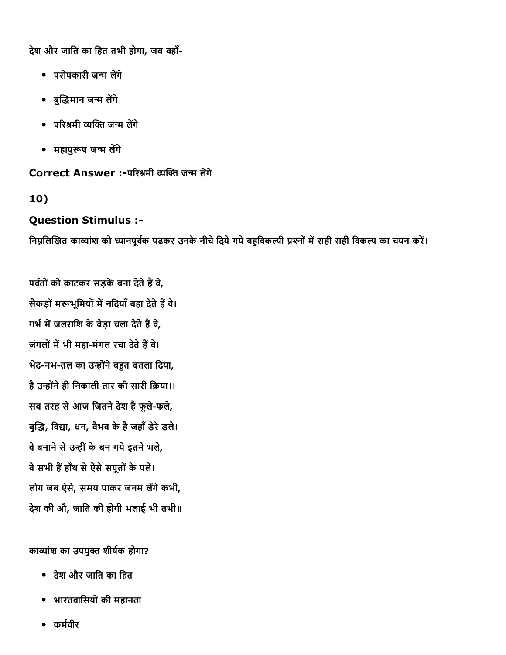देश और जाित का िहत तभी होगा, जब वहाँ

- परोपकारी जन्म लेंगे
- बुद्धिमान जन्म लेंगे
- परिश्रमी व्यक्ति जन्म लेंगे
- महापुरूष जन्म लेंगे

Correct Answer :-परिश्रमी व्यक्ति जन्म लेंगे

10)

#### Question Stimulus :

निम्नलिखित काव्यांश को ध्यानपूर्वक पढ़कर उनके नीचे दिये गये बहुविकल्पी प्रश्नों में सही सही विकल्प का चयन करें।

पर्वतों को काटकर सड़कें बना देते हैं वे, सैकड़ों मरूभूमियों में नदियाँ बहा देते हैं वे। गर्भ में जलराशि के बेड़ा चला देते हैं वे, जंगलों में भी महा-मंगल रचा देते हैं वे। भेद-नभ-तल का उन्होंने बहुत बतला दिया, है उन्होंने ही निकाली तार की सारी क्रिया।। सब तरह से आज जितने देश है फूले-फले, बुद्धि, विद्या, धन, वैभव के है जहाँ डेरे डले। वे बनाने से उन्हीं के बन गये इतने भले, वे सभी हैं हाँथ से ऐसे सपूतों के पले। लोग जब ऐसे, समय पाकर जनम लेंगे कभी, देश की औ, जाित की होगी भलाई भी तभी॥

काव्यांश का उपयुक्त शीर्षक होगा?

- देश और जाित का िहत
- भारतवािसयोंकी महानता
- कर्मवीर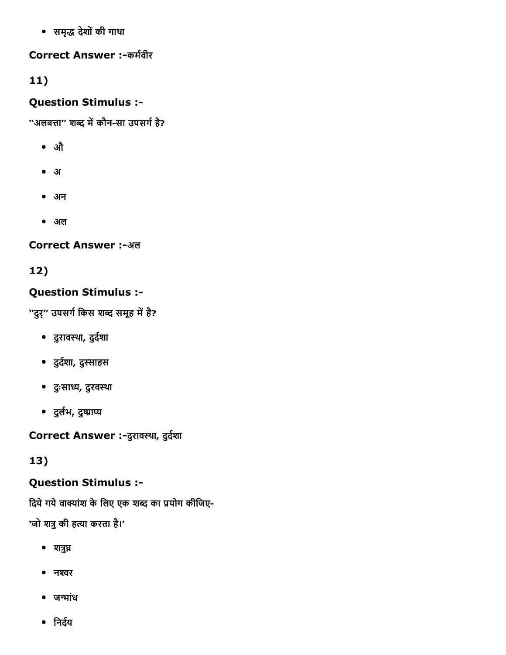समृḀ㌅ देशोंकी गाथा

### Correct Answer :-कर्मवीर

# 11)

### Question Stimulus :

''अलबत्ता'' शब्द में कौन-सा उपसर्ग है?

- औ
- अ
- अन
- अल

### Correct Answer :-अल

# 12)

### Question Stimulus :

''दुर्'' उपसर्ग किस शब्द समूह में है?

- दुरावस्था, दुर्दशा
- दुर्दशा, दुस्साहस
- दुःसा⤀䤇, दुरवथा
- दुर्लभ, दुष्प्राप्य

Correct Answer :-दुरावस्था, दुर्दशा

### 13)

### Question Stimulus :

दिये गये वाक्यांश के लिए एक शब्द का प्रयोग कीजिए-

'जो शत्रु की हत्या करता है।'

- $\bullet$  शत्रुघ्न
- नश्वर
- जन्मांध
- निर्दय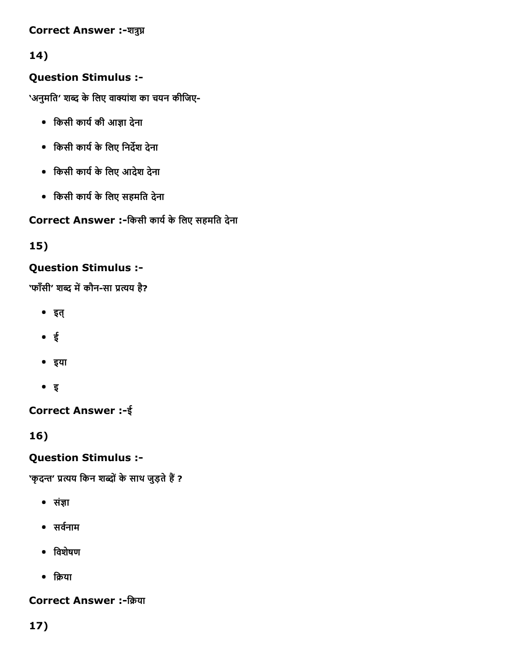#### Correct Answer :-शत्रुघ्न

### 14)

### Question Stimulus :

'अनुमति' शब्द के लिए वाक्यांश का चयन कीजिए-

- किसी कार्य की आज्ञा देना
- किसी कार्य के लिए निर्देश देना
- िकसी काय最紆केिलए आदेश देना
- किसी कार्य के लिए सहमति देना

### Correct Answer :-किसी कार्य के लिए सहमति देना

### 15)

### Question Stimulus :

'फाँसी' शब्द में कौन-सा प्रत्यय है?

- इत्
- ई
- इया
- इ

### Correct Answer :ई

16)

### Question Stimulus :

'कृदन्त' प्रत्यय किन शब्दों के साथ जुड़ते हैं ?

- संज्ञा
- सर्वनाम
- िवशेषण
- क्रिया

### Correct Answer :-क्रिया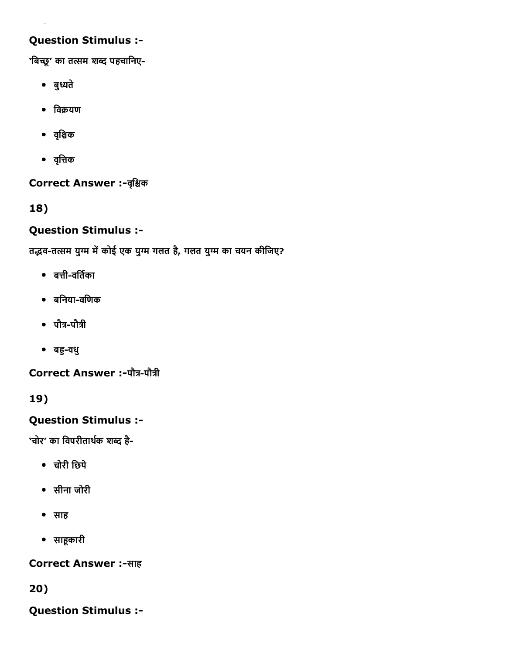### Question Stimulus :

'बिच्छू' का तत्सम शब्द पहचानिए-

- बुध्यते
- $\bullet$  विक्रयण
- वृश्चिक
- वृत्तिक

Correct Answer :-वृश्चिक

18)

### Question Stimulus :

तद्भव-तत्सम युग्म में कोई एक युग्म गलत है, गलत युग्म का चयन कीजिए?

- $\bullet$  बत्ती-वर्तिका
- बनिया-वणिक
- पौत्र-पौत्री
- बहु-वधु

Correct Answer :-पौत्र-पौत्री

19)

### Question Stimulus :

'चोर' का विपरीतार्थक शब्द है-

- चोरी िछपे
- सीना जोरी
- साह
- साहूकारी

Correct Answer :-साह

20)

Question Stimulus :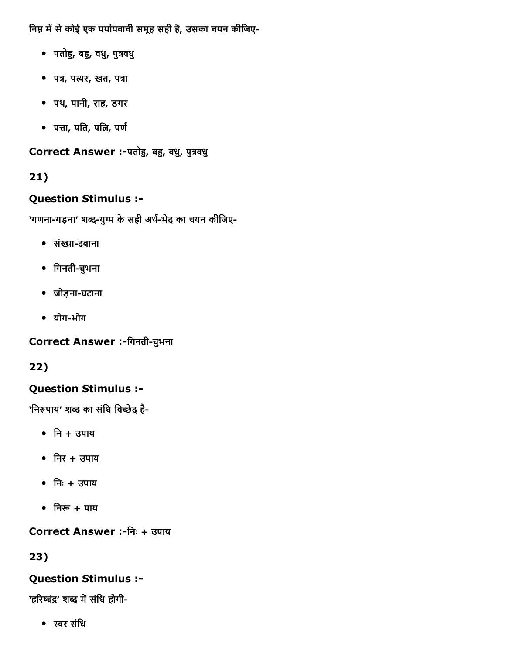निम्न में से कोई एक पर्यायवाची समूह सही है, उसका चयन कीजिए-

- पतोहु, बहु, वधु, पुत्रवधु
- पत्र, पत्थर, खत, पत्रा
- पथ, पानी, राह, डगर
- पत्ता, पति, पत्नि, पर्ण

Correct Answer :-पतोहु, बहु, वधु, पुत्रवधु

# 21)

### Question Stimulus :

'गणना-गड़ना' शब्द-युग्म के सही अर्थ-भेद का चयन कीजिए-

- संख्या-दबाना
- िगनतीचभुना
- जोड़ना-घटाना
- योग-भोग

Correct Answer :-गिनती-चुभना

22)

# Question Stimulus :

'निरुपाय' शब्द का संधि विच्छेद है-

- नि + उपाय
- $\bullet$  निर + उपाय
- िनः + उपाय
- निरू $+$  पाय

Correct Answer :िनः + उपाय

23)

### Question Stimulus :

'हरिष्चंद्र' शब्द में संधि होगी-

ⴀ︇र संिध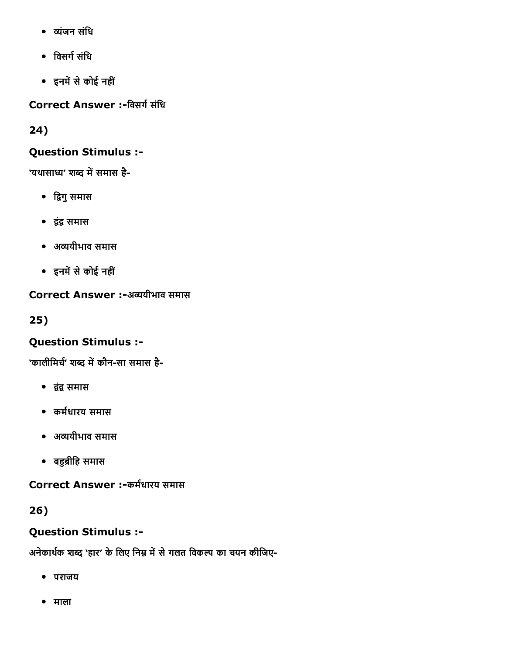- ᴁ뀅ंजन संिध
- विसर्ग संधि
- इनमें से कोई नहीं

Correct Answer :-विसर्ग संधि

24)

### Question Stimulus :

'यथासाध्य' शब्द में समास है-

- द्विगु समास
- 鼀ꘅं鼀ꘅ समास
- अᴁ뀅यीभाव समास
- इनमें से कोई नहीं

### Correct Answer :-अव्ययीभाव समास

25)

### Question Stimulus :

'कालीमिर्च' शब्द में कौन-सा समास है-

- द्वंद्व समास
- कर्मधारय समास
- अᴁ뀅यीभाव समास
- बहुब्रीहि समास

Correct Answer :-कर्मधारय समास

26)

### Question Stimulus :

अनेकार्थक शब्द 'हार' के लिए निम्न में से गलत विकल्प का चयन कीजिए-

- पराजय
- माला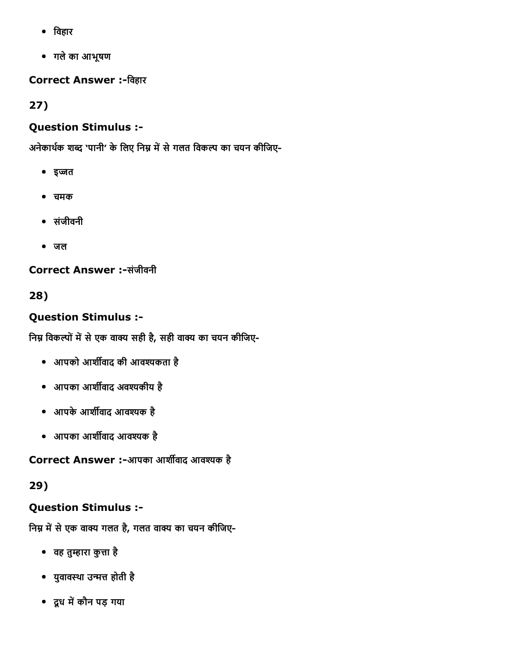- िवहार
- गलेका आभूषण

**Correct Answer :-विहार** 

27)

### Question Stimulus :

अनेकार्थक शब्द 'पानी' के लिए निम्न में से गलत विकल्प का चयन कीजिए-

- इज्जत
- चमक
- संजीवनी
- जल

Correct Answer :-संजीवनी

28)

# Question Stimulus :

निम्न विकल्पों में से एक वाक्य सही है, सही वाक्य का चयन कीजिए-

- आपको आर्शीवाद की आवश्यकता है
- आपका आर्शीवाद अवश्यकीय है
- आपके आर्शीवाद आवश्यक है
- आपका आर्शीवाद आवश्यक है

Correct Answer :-आपका आर्शीवाद आवश्यक है

29)

# Question Stimulus :

निम्न में से एक वाक्य गलत है, गलत वाक्य का चयन कीजिए-

- वह तुम्हारा कुत्ता है
- युवावस्था उन्मत्त होती है
- दूध में कौन पड़ गया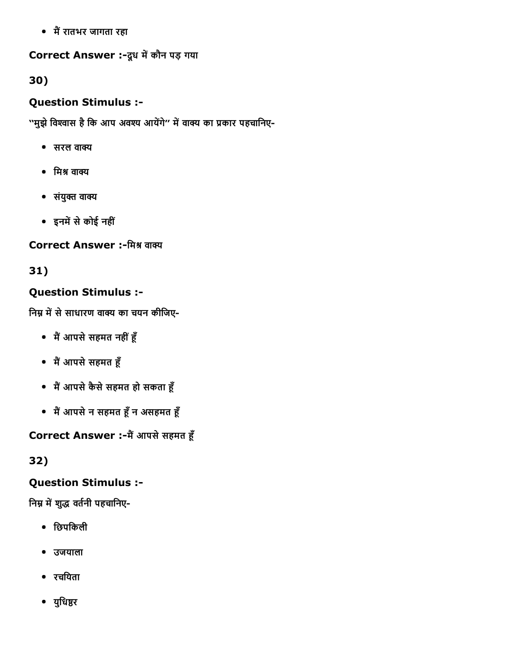• मैं रातभर जागता रहा

### Correct Answer :- दूध में कौन पड़ गया

30)

### Question Stimulus :

''मुझे विश्वास है कि आप अवश्य आयेंगे'' में वाक्य का प्रकार पहचानिए-

- सरल वा甀
- मिश्र वाक्य
- संयुक्त वाक्य
- इनमें से कोई नहीं

### Correct Answer :-मिश्र वाक्य

31)

### Question Stimulus :

निम्न में से साधारण वाक्य का चयन कीजिए-

- मैं आपसे सहमत नहीं हूँ
- मैं आपसे सहमत हूँ
- मैं आपसे कैसे सहमत हो सकता हूँ
- मैं आपसे न सहमत हूँ न असहमत हूँ

# Correct Answer :-मैं आपसे सहमत हूँ

32)

### Question Stimulus :

निम्न में शुद्ध वर्तनी पहचानिए-

- िछपिकली
- उजयाला
- रचियता
- युधिष्ठर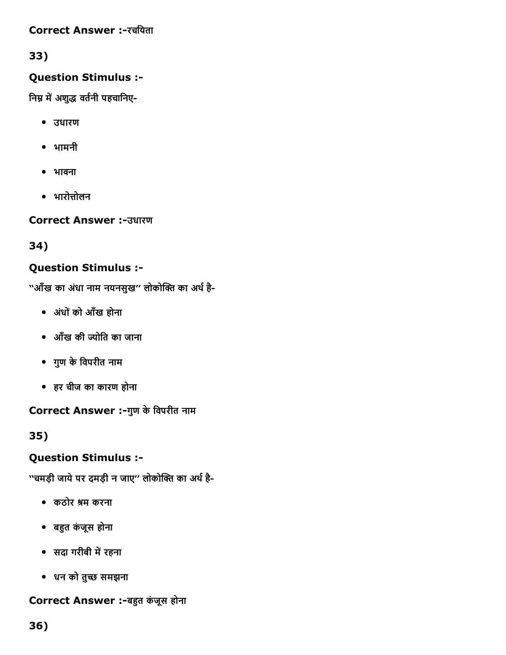#### Correct Answer :-रचयिता

### 33)

### Question Stimulus :

निम्न में अशुद्ध वर्तनी पहचानिए-

- उधारण
- भामनी
- भावना
- भारोत्तोलन

Correct Answer :उधारण

34)

### Question Stimulus :

''आँख का अंधा नाम नयनसुख'' लोकोक्ति का अर्थ है-

- अधंोंको आँख होना
- आँख की 嘀┈ोित का जाना
- गुण केिवपरीत नाम
- हर चीज का कारण होना

Correct Answer :-गुण के विपरीत नाम

35)

### Question Stimulus :

''चमड़ी जाये पर दमड़ी न जाए'' लोकोक्ति का अर्थ है-

- कठोर ⤀琅म करना
- बहुत कंजूस होना
- सदा गरीबी में रहना
- धन को तुच्छ समझना

Correct Answer :-बहुत कंजूस होना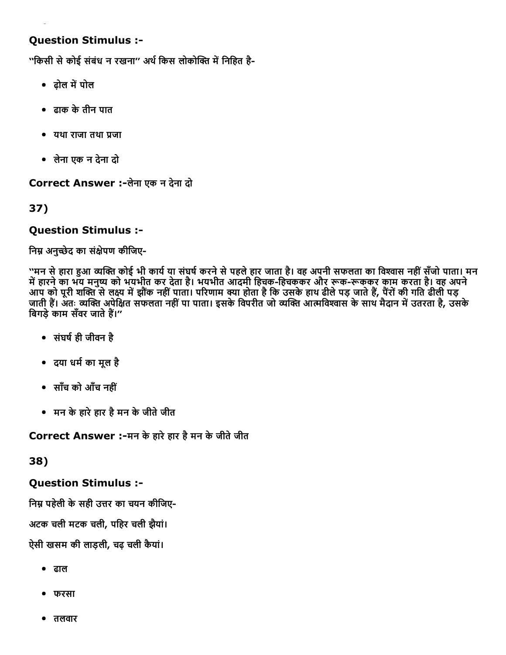### Question Stimulus :

''किसी से कोई संबंध न रखना'' अर्थ किस लोकोक्ति में निहित है-

- ढोल में पोल
- ढाक केतीन पात
- यथा राजा तथा प्रजा
- लेना एक न देना दो

Correct Answer :-लेना एक न देना दो

### 37)

#### Question Stimulus :

निम्न अनुच्छेद का संक्षेपण कीजिए-

''मन से हारा हुआ व्यक्ति कोई भी कार्य या संघर्ष करने से पहले हार जाता है। वह अपनी सफलता का विश्वास नहीं सँजो पाता। मन में हारने का भय मनुष्य को भयभीत कर देता है। भयभीत आदमी हिचक-हिचककर और रूक-रूककर काम करता है। वह अपने आप को पूरी शक्ति से लक्ष्य में झौंक नहीं पाता। परिणाम क्या होता है कि उसके हाथ ढीले पड़ जाते हैं, पैरों की गति ढीली पड़ जाती हैं। अतः व्यक्ति अपेक्षित सफलता नहीं पा पाता। इसके विपरीत जो व्यक्ति आत्मविश्वास के साथ मैदान में उतरता है, उसके बिगड़े काम सँवर जाते हैं।''

- संघर्ष ही जीवन है
- दया धर्म का मूल है
- साँच को आँच नहीं
- मन केहारेहार हैमन केजीतेजीत

Correct Answer :-मन के हारे हार है मन के जीते जीत

38)

#### Question Stimulus :

निम्न पहेली के सही उत्तर का चयन कीजिए-

अटक चली मटक चली, पिहर चली झैयां।

ऐसी खसम की लाड़ली, चढ़ चली कैयां।

- ढाल
- फरसा
- तलवार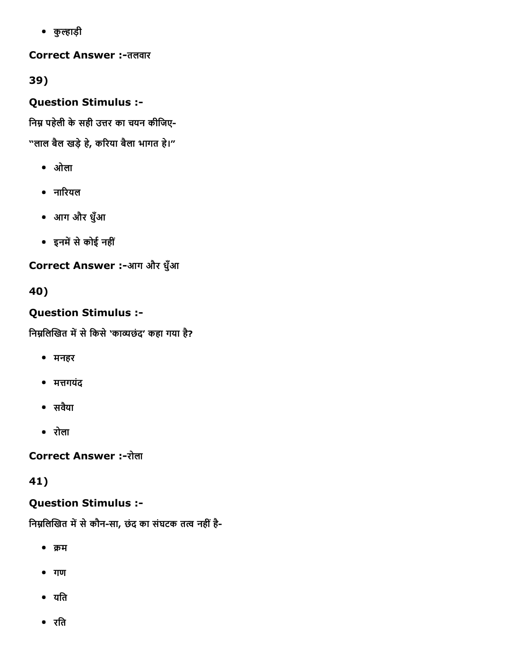• कुल्हाड़ी

**Correct Answer :-तलवार** 

39)

Question Stimulus :

निम्न पहेली के सही उत्तर का चयन कीजिए-

"लाल बैल खड़े हे, करिया बैला भागत हे।"

- ओला
- नारियल
- आग और धुँआ
- इनमें से कोई नहीं

Correct Answer :-आग और धुँआ

40)

# Question Stimulus :

निम्नलिखित में से किसे 'काव्यछंद' कहा गया है?

- मनहर
- मत्तगयंद
- सवयैा
- रोला

**Correct Answer :-रोला** 

41)

# Question Stimulus :

निम्नलिखित में से कौन-सा, छंद का संघटक तत्व नहीं है-

- $•$  क्रम
- गण
- यति
- रित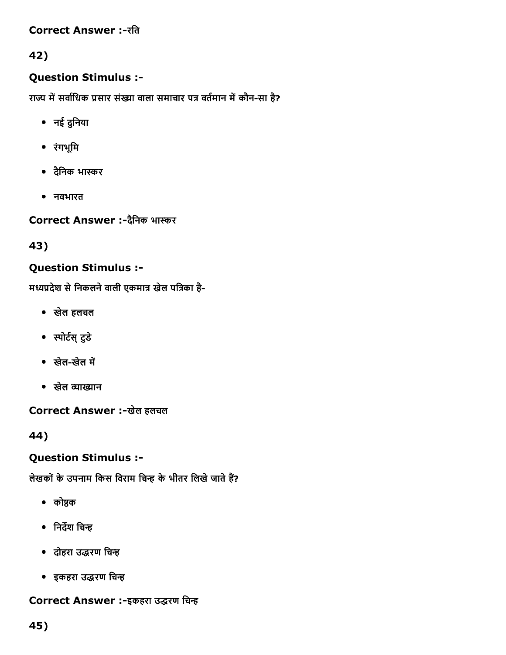#### Correct Answer :-रति

### 42)

### Question Stimulus :

राज्य में सर्वाधिक प्रसार संख्या वाला समाचार पत्र वर्तमान में कौन-सा है?

- नई दुनिया
- रंगभूिम
- दैनिक भास्कर
- नवभारत

Correct Answer :- दैनिक भास्कर

43)

### Question Stimulus :

मध्यप्रदेश से निकलने वाली एकमात्र खेल पत्रिका है-

- खेल हलचल
- स्पोर्टस् टुडे
- खेल-खेल में
- खेल व्याख्यान

Correct Answer :-खेल हलचल

44)

### Question Stimulus :

लेखकों के उपनाम किस विराम चिन्ह के भीतर लिखे जाते हैं?

- $\bullet$  कोष्ठक
- निर्देश चिन्ह
- दोहरा उद्धरण चिन्ह
- इकहरा उद्धरण चिन्ह

### Correct Answer :-इकहरा उद्धरण चिन्ह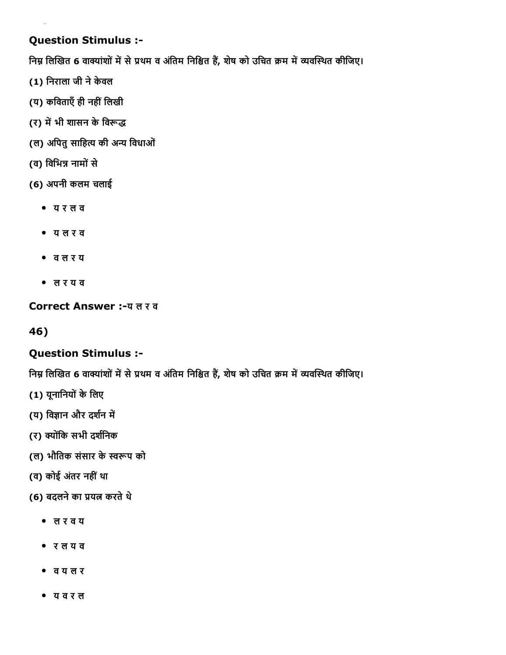### Question Stimulus :

निम्न लिखित 6 वाक्यांशों में से प्रथम व अंतिम निश्चित हैं, शेष को उचित क्रम में व्यवस्थित कीजिए।

- (1) िनराला जी नेकेवल
- (य) कविताएँ ही नहीं लिखी
- (र) में भी शासन के विरूद्ध
- (ल) अपितु साहित्य की अन्य विधाओं
- (व) विभिन्न नामों से
- (6) अपनी कलम चलाई
	- य र ल व
	- य ल र व
	- व ल र य
	- ल र य व

Correct Answer :-य ल र व

46)

### Question Stimulus :

निम्न लिखित 6 वाक्यांशों में से प्रथम व अंतिम निश्चित हैं, शेष को उचित क्रम में व्यवस्थित कीजिए।

- (1) यूनानियों के लिए
- (य) विज्ञान और दर्शन में
- (र) क्योंकि सभी दर्शनिक
- (ल) भौतिक संसार के स्वरूप को
- (व) कोई अंतर नहीं था
- (6) बदलने का प्रयत्न करते थे
	- ल र व य
	- र ल य व
	- व य ल र
	- य व र ल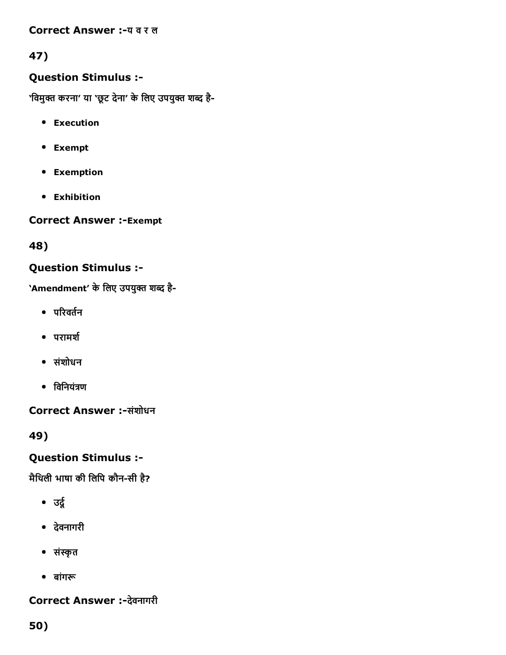#### Correct Answer :-य व र ल

### 47)

### Question Stimulus :

'विमुक्त करना' या 'छूट देना' के लिए उपयुक्त शब्द है-

- **•** Execution
- Exempt
- Exemption
- Exhibition

**Correct Answer :-Exempt** 

48)

#### Question Stimulus :

'Amendment' के लिए उपयुक्त शब्द है-

- $\bullet$  परिवर्तन
- परामर्श
- संशोधन
- $\bullet$  विनियंत्रण

Correct Answer :-संशोधन

49)

### Question Stimulus :

मैथिली भाषा की लिपि कौन-सी है?

- उर्दू
- देवनागरी
- सं븀眅ृत
- बांगरू

### Correct Answer :-देवनागरी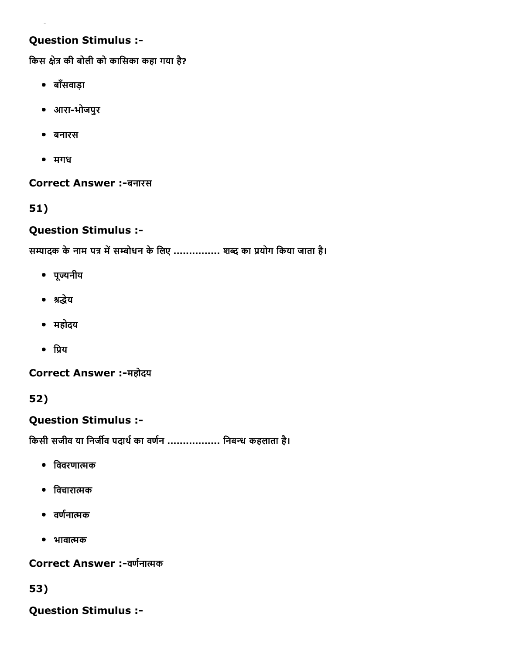### Question Stimulus :

किस क्षेत्र की बोली को कासिका कहा गया है?

- बाँसवाड़ा
- आराभोजपुर
- बनारस
- मगध

Correct Answer :-बनारस

51)

#### Question Stimulus :

सम्पादक के नाम पत्र में सम्बोधन के लिए ............... शब्द का प्रयोग किया जाता है।

- पूयनीय
- श्रद्धेय
- महोदय
- $\bullet$   $\theta$ य

Correct Answer :-महोदय

52)

### Question Stimulus :

किसी सजीव या निर्जीव पदार्थ का वर्णन .................. निबन्ध कहलाता है।

- िववरणामक
- िवचारामक
- वर्णनात्मक
- भावामक

Correct Answer :-वर्णनात्मक

53)

Question Stimulus :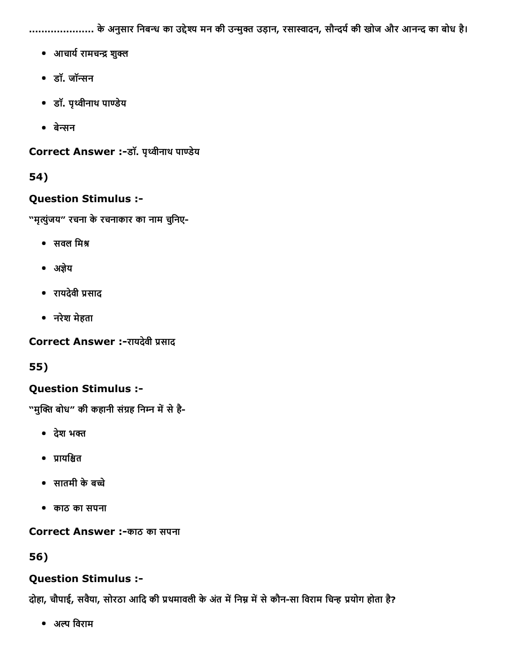...................... के अनुसार निबन्ध का उद्देश्य मन की उन्मुक्त उड़ान, रसास्वादन, सौन्दर्य की खोज और आनन्द का बोध है।

- आचार्य रामचन्द्र शुक्ल
- डॉ. जॉसन
- डॉ. पृवीनाथ पाडेय
- बेसन

Correct Answer :-डॉ. पृथ्वीनाथ पाण्डेय

### 54)

### Question Stimulus :

"मृत्युंजय" रचना के रचनाकार का नाम चुनिए-

- $\bullet$  सवल मिश्र
- अज्ञेय
- रायदेवी ꨀ糖साद
- नरेश मेहता

Correct Answer :-रायदेवी प्रसाद

55)

### Question Stimulus :

"मुक्ति बोध" की कहानी संग्रह निम्न में से है-

- देश भक्त
- प्रायश्चित
- सातमी केबचे
- काठ का सपना

**Correct Answer :-काठ का सपना** 

56)

### Question Stimulus :

दोहा, चौपाई, सवैया, सोरठा आदि की प्रथमावली के अंत में निम्न में से कौन-सा विराम चिन्ह प्रयोग होता है?

• अल्प विराम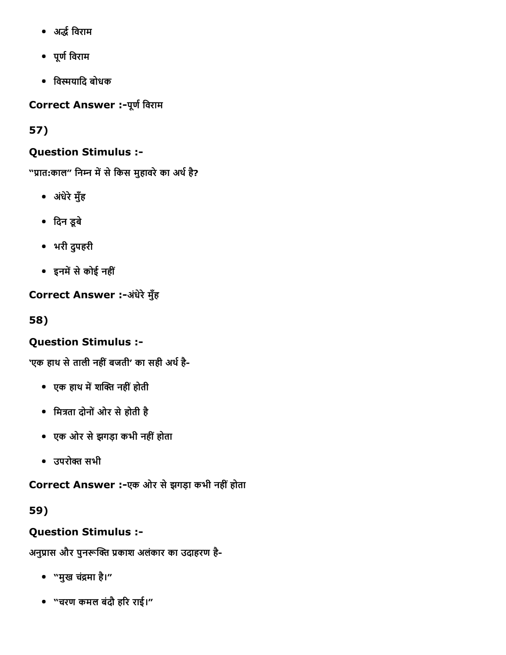- अḀ㌅最紆िवराम
- पूर्ण विराम
- विस्मयादि बोधक

Correct Answer :- पूर्ण विराम

57)

### Question Stimulus :

"प्रात:काल" निम्न में से किस मुहावरे का अर्थ है?

- अंधेरे मुँह
- िदन डूबे
- भरी दुपहरी
- इनमें से कोई नहीं

Correct Answer :-अंधेरे मुँह

58)

# Question Stimulus :

'एक हाथ से ताली नहीं बजती' का सही अर्थ है-

- एक हाथ में शक्ति नहीं होती
- मित्रता दोनों ओर से होती है
- एक ओर सेझगड़ा कभी नहींहोता
- उपरोक्त सभी

Correct Answer :-एक ओर से झगड़ा कभी नहीं होता

59)

# Question Stimulus :

अनुप्रास और पुनरूक्ति प्रकाश अलंकार का उदाहरण है-

- "मुख चंद्रमा है।"
- "चरण कमल बंदौ हरि राई।"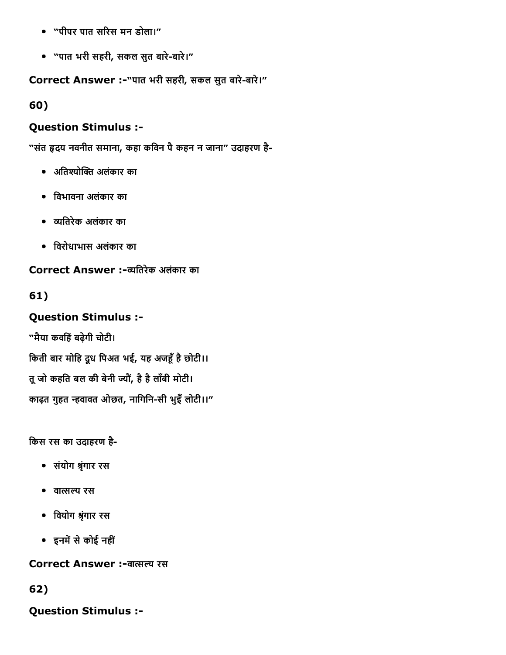- "पीपर पात सरिस मन डोला।"
- "पात भरी सहरी, सकल सुत बारेबारे।"

Correct Answer :-"पात भरी सहरी, सकल सुत बारे-बारे।"

60)

### Question Stimulus :

"संत हृदय नवनीत समाना, कहा कविन पै कहन न जाना" उदाहरण है-

- अतिश्योक्ति अलंकार का
- िवभावना अलंकार का
- यितरेक अलंकार का
- िवरोधाभास अलंकार का

### Correct Answer :-व्यतिरेक अलंकार का

## 61)

## Question Stimulus :

"मैया कविहंबढ़ेगी चोटी।

किती बार मोहि दूध पिअत भई, यह अजहूँ है छोटी।। तू जो कहति बल की बेनी ज्यौं, है है लाँबी मोटी। काढ़त गुहत न्हवावत ओछत, नागिनि-सी भुइँ लोटी।।"

िकस रस का उदाहरण है

- संयोग ⤀琅ृंगार रस
- वासय रस
- िवयोग ⤀琅ृंगार रस
- इनमें से कोई नहीं

Correct Answer :-वात्सल्य रस

62)

Question Stimulus :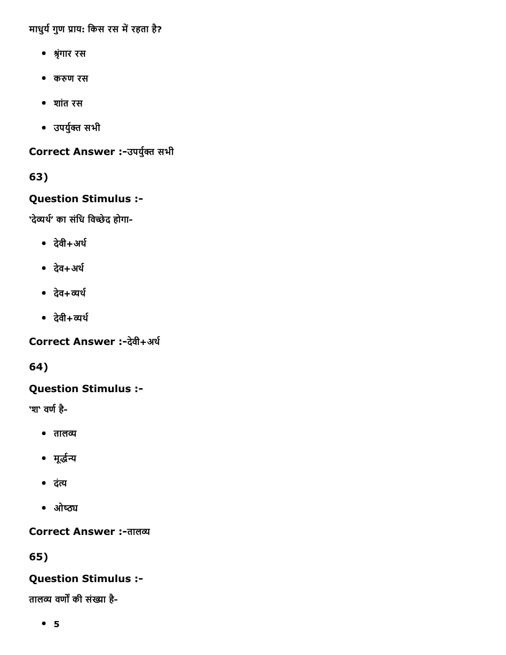माधुर्य गुण प्राय: किस रस में रहता है?

- ⤀琅ृंगार रस
- कᰀꐆण रस
- शांत रस
- उपर्युक्त सभी

Correct Answer :-उपर्युक्त सभी

63)

## Question Stimulus :

'देव्यर्थ' का संधि विच्छेद होगा-

- देवी+अर्थ
- देव+अर्थ
- $\bullet$   $\vec{a}$ व+व्यर्थ
- $\bullet$   $\frac{1}{6}$ वी+व्यर्थ

Correct Answer :-देवी+अर्थ

64)

## Question Stimulus :

'श' वर्ण है-

- $\bullet$  तालव्य
- मूर्द्धन्य
- दंत्य
- ओष्ठ्य

Correct Answer :- तालव्य

65)

## Question Stimulus :

तालव्य वर्णों की संख्या है-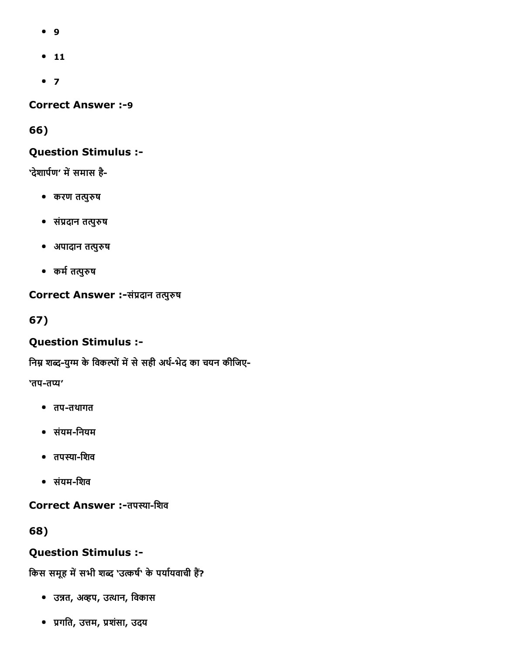- 9
- $-11$
- $7$

**Correct Answer :-9** 

66)

#### Question Stimulus :

'देशार्पण' में समास है-

- करण तत्पुरुष
- संप्रदान तत्पुरुष
- अपादान तपुᰀꐆष
- कर्म तत्पुरुष

### Correct Answer :-संप्रदान तत्पुरुष

67)

## Question Stimulus :

निम्न शब्द-युग्म के विकल्पों में से सही अर्थ-भेद का चयन कीजिए-

'तप-तप्य'

- तपतथागत
- संयमिनयम
- तपस्या-शिव
- संयमिशव

Correct Answer :- तपस्या-शिव

68)

## Question Stimulus :

#### किस समूह में सभी शब्द 'उत्कर्ष' के पर्यायवाची हैं?

- उन्नत, अव्हप, उत्थान, विकास
- ꨀ糖गित, उ븀옆म, ꨀ糖शंसा, उदय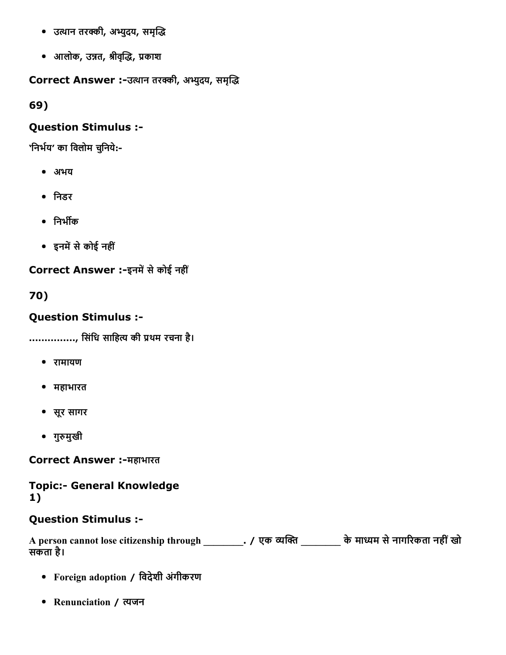- उत्थान तरक्की, अभ्युदय, समृद्धि
- आलोक, उ븀쐆त, ⤀琅ीव눁뀅ृḀ㌅, ꨀ糖काश

Correct Answer :-उत्थान तरक्की, अभ्युदय, समृद्धि

69)

## Question Stimulus :

'निर्भय' का विलोम चुनिये:-

- अभय
- िनडर
- निर्भीक
- इनमें से कोई नहीं

Correct Answer :-इनमें से कोई नहीं

70)

## Question Stimulus :

..............., सिंधि साहित्य की प्रथम रचना है।

- रामायण
- महाभारत
- सूर सागर
- गुरुमुखी

Correct Answer :-महाभारत

### **Topic:- General Knowledge** 1)

## Question Stimulus :

A person cannot lose citizenship through \_\_\_\_\_\_\_\_\_. / एक व्यक्ति \_\_\_\_\_\_\_\_ के माध्यम से नागरिकता नहीं खो सकता है।

- Foreign adoption / िवदेशी अंगीकरण
- Renunciation / त्यजन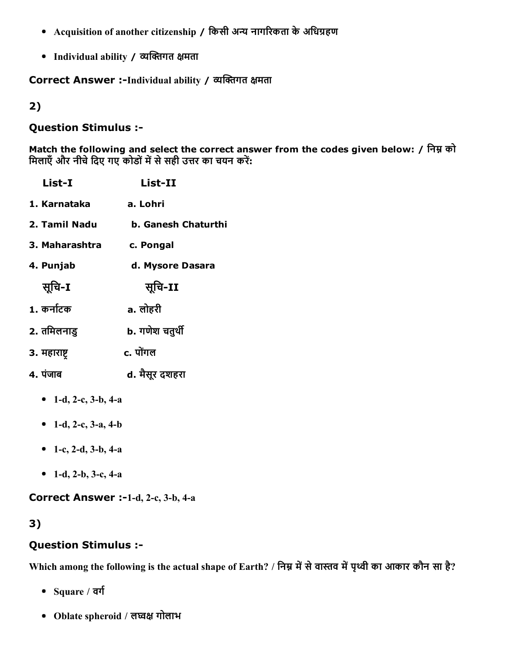- Acquisition of another citizenship / किसी अन्य नागरिकता के अधिग्रहण
- Individual ability / व्यक्तिगत क्षमता

Correct Answer :-Individual ability / व्यक्तिगत क्षमता

2)

#### Question Stimulus :

Match the following and select the correct answer from the codes given below: / निम्न को मिलाएँ और नीचे दिए गए कोडों में से सही उत्तर का चयन करें:

| List-I               | List-II                    |
|----------------------|----------------------------|
| 1. Karnataka         | a. Lohri                   |
| 2. Tamil Nadu        | <b>b. Ganesh Chaturthi</b> |
| 3. Maharashtra       | c. Pongal                  |
| 4. Punjab            | d. Mysore Dasara           |
| सूचि-1               | सूचि-II                    |
| 1. कर्नाटक           | a. लोहरी                   |
| 2. तमिलनाडु          | b. गणेश चतुर्थी            |
| 3. महाराष्ट्र        | c. पोंगल                   |
| 4. पंजाब             | d. मैसूर दशहरा             |
| • 1-d, 2-c, 3-b, 4-a |                            |

- 1-d, 2-c, 3-a, 4-b
- 1-c, 2-d, 3-b, 4-a
- 1-d, 2-b, 3-c, 4-a

Correct Answer :-1-d, 2-c, 3-b, 4-a

## 3)

## Question Stimulus :

Which among the following is the actual shape of Earth? / निम्न में से वास्तव में पृथ्वी का आकार कौन सा है?

- $\bullet$  Square / वर्ग
- Oblate spheroid / लघ्वक्ष गोलाभ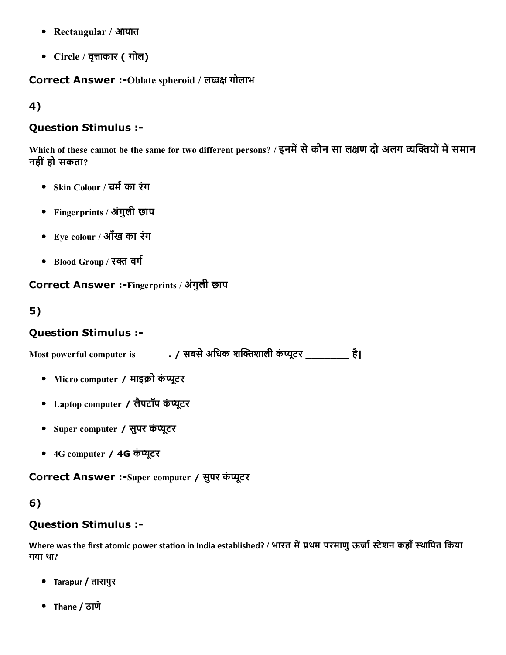- Rectangular / आयात
- Circle / वृत्ताकार ( गोल)

#### Correct Answer :-Oblate spheroid / लघ्वक्ष गोलाभ

4)

#### Question Stimulus :

Which of these cannot be the same for two different persons? / इनमें से कौन सा लक्षण दो अलग व्यक्तियों में समान नहींहो सकता?

- Skin Colour / चर्म का रंग
- Fingerprints / अंगुली छाप
- Eye colour / आँख का रंग
- Blood Group / रक्त वर्ग

Correct Answer :-Fingerprints / अंगुली छाप

### 5)

#### Question Stimulus :

 $M$ ost powerful computer is \_\_\_\_\_\_\_. / सबसे अधिक शक्तिशाली कंप्यूटर \_\_\_\_\_\_\_\_\_ है।

- Micro computer / माइक्रो कंप्यूटर
- Laptop computer / लैपटॉप कंप्यूटर
- Super computer / सुपर कंप्यूटर
- 4G computer / 4G कंप्यूटर

Correct Answer :- Super computer / सुपर कंप्यूटर

#### 6)

#### Question Stimulus :

Where was the first atomic power station in India established? / भारत में प्रथम परमाणु ऊर्जा स्टेशन कहाँ स्थापित किया गया था?

- Tarapur / तारापुर
- Thane / ठाणे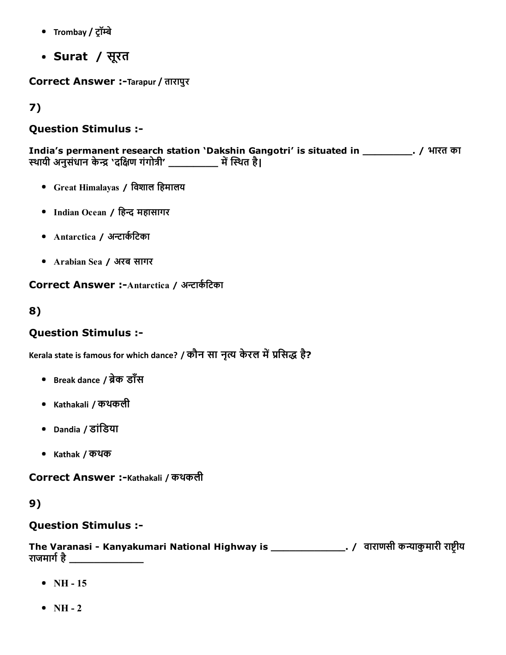- Trombay / ट्रॉम्बे
- Surat / सूरत

Correct Answer :-Tarapur / तारापुर

7)

## Question Stimulus :

India's permanent research station 'Dakshin Gangotri' is situated in \_\_\_\_\_\_\_\_. / भारत का स्थायी अनुसंधान केन्द्र 'दक्षिण गंगोत्री' \_\_\_\_\_\_\_\_\_\_ में स्थित है।

- Great Himalayas / िवशाल िहमालय
- Indian Ocean / हिन्द महासागर
- Antarctica / अन्टार्कटिका
- Arabian Sea / अरब सागर

Correct Answer :-Antarctica / अन्टार्कटिका

#### 8)

### Question Stimulus :

Kerala state is famous for which dance? / कौन सा नृत्य केरल में प्रसिद्ध है?

- Break dance / ब्रेक डाँस
- Kathakali / कथकली
- Dandia / डांिडया
- Kathak / कथक

Correct Answer :-Kathakali / कथकली

#### 9)

#### Question Stimulus :

The Varanasi - Kanyakumari National Highway is \_\_\_\_\_\_\_\_\_\_\_\_\_\_\_\_\_\_\_. / वाराणसी कन्याकुमारी राष्ट्रीय राजमार्ग है

- $\bullet$  NH 15
- $\bullet$  NH 2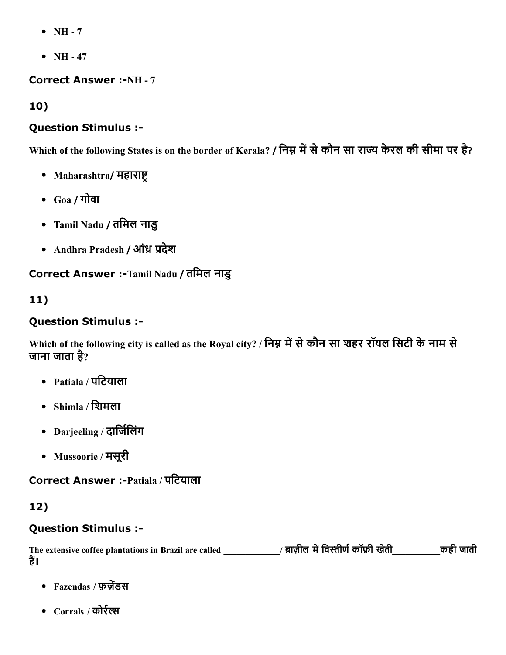- $\bullet$  NH 7
- $\bullet$  NH 47

#### **Correct Answer :-NH - 7**

10)

### Question Stimulus :

Which of the following States is on the border of Kerala? / निम्न में से कौन सा राज्य केरल की सीमा पर है?

- Maharashtra/ महाराष्ट्
- Goa / गोवा
- Tamil Nadu / तिमल नाडु
- Andhra Pradesh / आंध्र प्रदेश

Correct Answer :-Tamil Nadu / तमिल नाडु

### 11)

### Question Stimulus :

Which of the following city is called as the Royal city? / निम्न में से कौन सा शहर रॉयल सिटी के नाम से जाना जाता है ?

- Patiala / पिटयाला
- Shimla / िशमला
- Darjeeling / दार्जिलिंग
- Mussoorie / मसूरी

## Correct Answer :Patiala / पिटयाला

## 12)

## Question Stimulus :

The extensive coffee plantations in Brazil are called \_\_\_\_\_\_\_\_\_\_\_/ ब्राज़ील में विस्तीर्ण कॉफ़ी खेती\_\_\_\_\_\_\_\_\_\_\_ कही जाती हैं।

- Fazendas / फ़ज़ेंडस
- Corrals / कोर्रल्स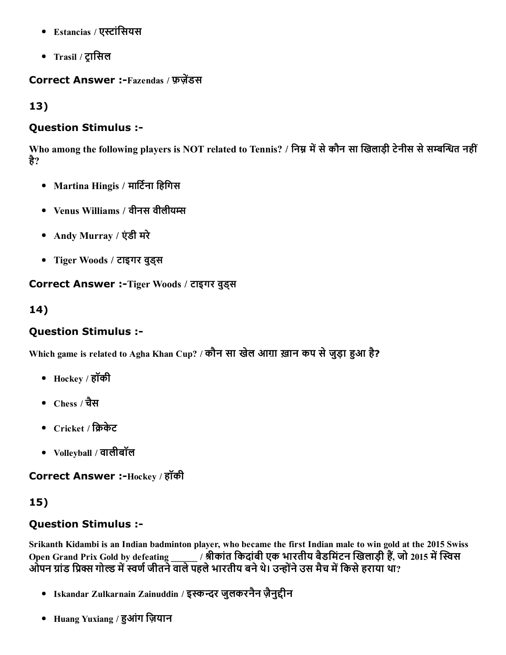- Estancias / एस्टांसियस
- Trasil / ट्रासिल

#### Correct Answer :-Fazendas / फ़जेंडस

13)

#### Question Stimulus :

Who among the following players is NOT related to Tennis? / निम्न में से कौन सा खिलाड़ी टेनीस से सम्बन्धित नहीं है?

- Martina Hingis / मार्टिना हिगिस
- Venus Williams / वीनस वीलीयम्स
- Andy Murray / एंडी मरे
- Tiger Woods / टाइगर वुड्स

Correct Answer :-Tiger Woods / टाइगर वुड्स

14)

## Question Stimulus :

Which game is related to Agha Khan Cup? / कौन सा खेल आग़ा ख़ान कप से जुड़ा हुआ है?

- Hockey / हॉकी
- Chess / चैस
- $Circle /$  क्रिकेट
- Volleyball / वालीबॉल

Correct Answer :-Hockey / हॉकी

## 15)

## Question Stimulus :

Srikanth Kidambi is an Indian badminton player, who became the first Indian male to win gold at the 2015 Swiss Open Grand Prix Gold by defeating \_\_\_\_\_\_ / श्रीकांत किदांबी एक भारतीय बैडमिंटन खिलाड़ी हैं, जो 2015 में स्विस ओपन ग्रांड प्रिक्स गोल्ड में स्वर्ण जीतने वाले पहले भारतीय बने थे। उन्होंने उस मैच में किसे हराया था?

- Iskandar Zulkarnain Zainuddin / इस्कन्दर जुलकरनैन ज़ैनुद्दीन
- Huang Yuxiang / हुआंग ज़ियान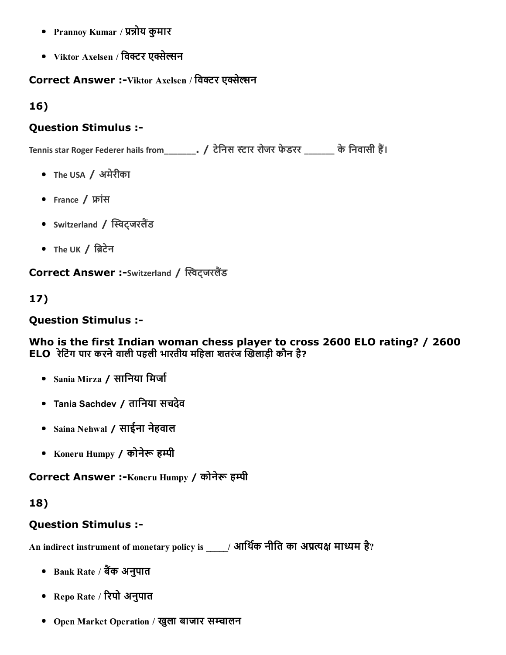- Prannoy Kumar / प्रन्नोय कुमार
- Viktor Axelsen / विक्टर एक्सेल्सन

### Correct Answer :-Viktor Axelsen / विक्टर एक्सेल्सन

16)

#### Question Stimulus :

Tennis star Roger Federer hails from\_\_\_\_\_\_\_. / टेनिस स्टार रोजर फेडरर \_\_\_\_\_\_ के निवासी हैं।

- The USA / अमेरीका
- France / फ्रांस
- Switzerland / स्विट्जरलैंड
- The UK  $/$  ब्रिटेन

Correct Answer :-Switzerland / स्विट्जरलैंड

17)

### Question Stimulus :

Who is the first Indian woman chess player to cross 2600 ELO rating? / 2600 ELO रेटिंग पार करने वाली पहली भारतीय महिला शतरंज खिलाड़ी कौन है?

- Sania Mirza / सानिया मिर्जा
- Tania Sachdev / तािनया सचदेव
- Saina Nehwal / साईना नेहवाल
- Koneru Humpy / कोनेरू हम्पी

Correct Answer :-Koneru Humpy / कोनेरू हम्पी

## 18)

## Question Stimulus :

An indirect instrument of monetary policy is \_\_\_\_\_/ आर्थिक नीति का अप्रत्यक्ष माध्यम है?

- Bank Rate / बैंक अनुपात
- Repo Rate / रिपो अनुपात
- Open Market Operation / खुला बाजार सचालन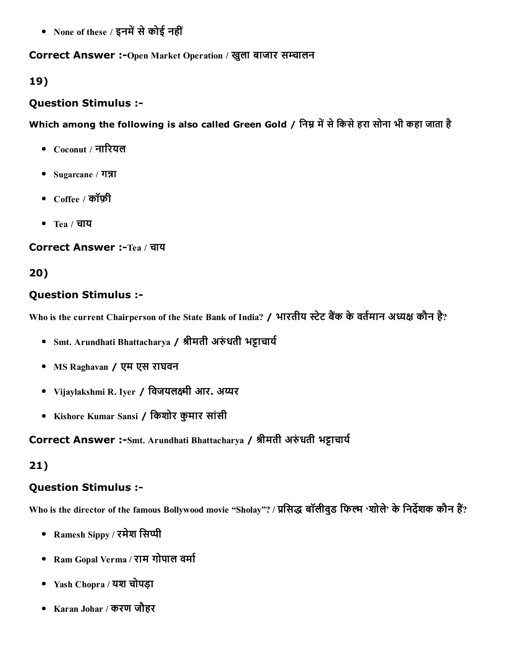• None of these / इनमें से कोई नहीं

#### Correct Answer :-Open Market Operation / खुला बाजार सम्चालन

#### 19)

#### Question Stimulus :

## Which among the following is also called Green Gold / निम्न में से किसे हरा सोना भी कहा जाता है

- $Coconvf / \pi \mathbb{R}$ यल
- $\bullet$  Sugarcane / गन्ना
- $C$ offee / कॉफ़ी
- Tea / चाय

Correct Answer :-Tea / चाय

## 20)

#### Question Stimulus :

Who is the current Chairperson of the State Bank of India? / भारतीय स्टेट बैंक के वर्तमान अध्यक्ष कौन है?

- Smt. Arundhati Bhattacharya / श्रीमती अरुंधती भट्टाचार्य
- MS Raghavan / एम एस राघवन
- Vijaylakshmi R. Iyer / विजयलक्ष्मी आर. अय्यर
- Kishore Kumar Sansi / िकशोर कुमार सांसी

## Correct Answer :-Smt. Arundhati Bhattacharya / श्रीमती अरुंधती भट्टाचार्य

## 21)

#### Question Stimulus :

Who is the director of the famous Bollywood movie "Sholay"? / प्रसिद्ध बॉलीवुड फिल्म 'शोले' के निर्देशक कौन हैं?

- Ramesh Sippy / रमेश सिप्पी
- Ram Gopal Verma / राम गोपाल वर्मा
- Yash Chopra / यश चोपड़ा
- Karan Johar / करण जौहर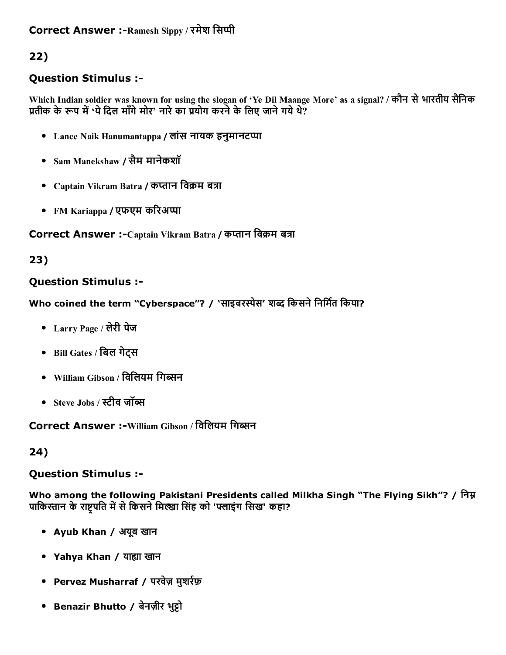## Correct Answer :-Ramesh Sippy / रमेश सिप्पी

## 22)

### Question Stimulus :

Which Indian soldier was known for using the slogan of 'Ye Dil Maange More' as a signal? / कौन सेभारतीय सैिनक प्रतीक के रूप में 'ये दिल माँगे मोर' नारे का प्रयोग करने के लिए जाने गये थे?

- Lance Naik Hanumantappa / लांस नायक हनुमानटप्पा
- Sam Manekshaw / सैम मानेकशॉ
- Captain Vikram Batra / कप्तान विक्रम बत्रा
- FM Kariappa / एफएम करिअप्पा

#### Correct Answer :- Captain Vikram Batra / कप्तान विक्रम बत्रा

#### 23)

#### Question Stimulus :

Who coined the term "Cyberspace"? / 'साइबरस्पेस' शब्द किसने निर्मित किया?

- Larry Page / लेरी पेज
- Bill Gates / िबल गेट्स
- William Gibson / विलियम गिब्सन
- Steve Jobs / स्टीव जॉब्स

## Correct Answer :-William Gibson / विलियम गिब्सन

#### 24)

#### Question Stimulus :

Who among the following Pakistani Presidents called Milkha Singh "The Flying Sikh"? / निम्न पाकिस्तान के राष्ट्रपति में से किसने मिल्खा सिंह को 'फ्लाइंग सिख' कहा?

- Ayub Khan / अयूब खान
- Yahya Khan / याह्या खान
- Pervez Musharraf / परवेज़ मुशर्रफ़
- Benazir Bhutto / बेनज़ीर भुट्टो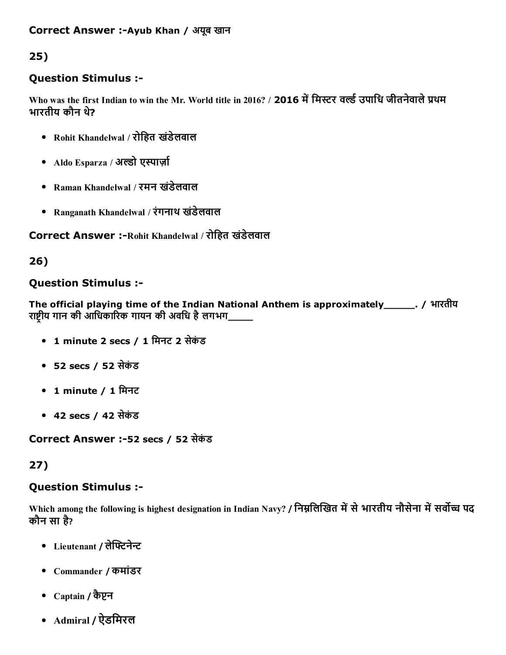#### Correct Answer :-Ayub Khan / अयूब खान

## 25)

#### Question Stimulus :

Who was the first Indian to win the Mr. World title in 2016? / 2016 में मिस्टर वर्ल्ड उपाधि जीतनेवाले प्रथम भारतीय कौन थ?े

- Rohit Khandelwal / रोिहत खंडेलवाल
- Aldo Esparza / अल्डो एस्पार्ज़ा
- Raman Khandelwal / रमन खंडेलवाल
- Ranganath Khandelwal / रंगनाथ खंडेलवाल

Correct Answer :-Rohit Khandelwal / रोहित खंडेलवाल

#### 26)

#### Question Stimulus :

The official playing time of the Indian National Anthem is approximately\_\_\_\_\_. / भारतीय राष्ट्रीय गान की आधिकारिक गायन की अवधि है लगभग\_

- 1 minute 2 secs / 1 िमनट 2 सेकंड
- 52 secs / 52 सेकंड
- 1 minute / 1 मिनट
- 42 secs / 42 सेकंड

Correct Answer :52 secs / 52 सेकंड

#### 27)

#### Question Stimulus :

Which among the following is highest designation in Indian Navy? / निम्नलिखित में से भारतीय नौसेना में सर्वोच्च पद कौन सा है?

- Lieutenant / लेफ्टिनेन्ट
- Commander / कमांडर
- $\text{Captain / } \overline{\text{op}}$ पन
- Admiral / ऐडिमरल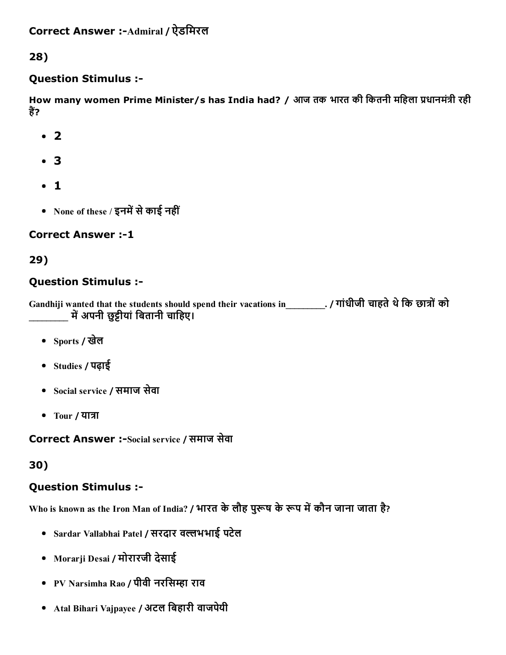28)

## Question Stimulus :

How many women Prime Minister/s has India had? / आज तक भारत की कितनी महिला प्रधानमंत्री रही हैं?

- $\cdot$  2
- 3
- 1
- None of these / इनमें से काई नहीं

## **Correct Answer :-1**

## 29)

## Question Stimulus :

Gandhiji wanted that the students should spend their vacations in\_\_\_\_\_\_\_\_\_. / गांधीजी चाहते थे कि छात्रों को \_\_\_\_\_\_\_\_\_ म堀딄अपनी छु逎ीयांिबतानी चािहए।

- Sports / खेल
- Studies / पढ़ाई
- Social service / समाज सेवा
- Tour / यात्रा

Correct Answer :-Social service / समाज सेवा

## 30)

## Question Stimulus :

Who is known as the Iron Man of India? / भारत के लौह पुरूष के रूप में कौन जाना जाता है?

- Sardar Vallabhai Patel / सरदार वल्लभभाई पटेल
- Morarji Desai / मोरारजी देसाई
- PV Narsimha Rao / पीवी नरसिम्हा राव
- Atal Bihari Vajpayee / अटल िबहारी वाजपेयी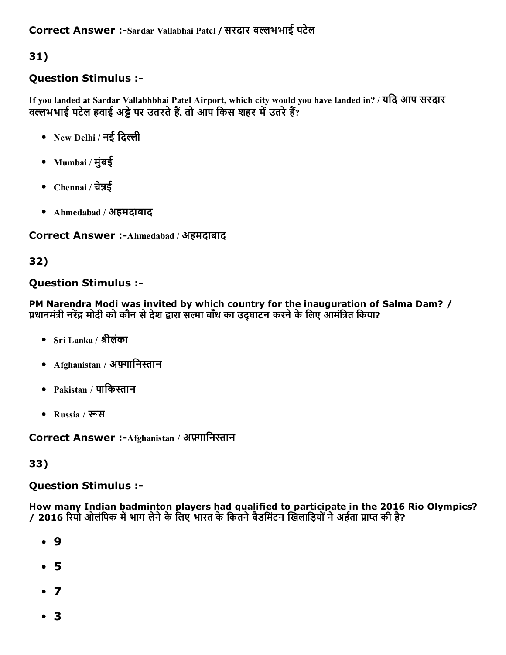31)

## Question Stimulus :

If you landed at Sardar Vallabhbhai Patel Airport, which city would you have landed in? / यिद आप सरदार वल्लभभाई पटेल हवाई अड्डे पर उतरते हैं, तो आप किस शहर में उतरे हैं?

- New Delhi / नई दिल्ली
- Mumbai / मुंबई
- Chennai / चेन्नई
- Ahmedabad / अहमदाबाद

Correct Answer :-Ahmedabad / अहमदाबाद

## 32)

## Question Stimulus :

PM Narendra Modi was invited by which country for the inauguration of Salma Dam? / प्रधानमंत्री नरेंद्र मोदी को कौन से देश द्वारा सत्मा बाँध का उद्घाटन करने के लिए आमंत्रित किया?

- Sri Lanka / श्रीलंका
- Afghanistan / अफ़्गानिस्तान
- Pakistan / पाकिस्तान
- Russia / रूस

Correct Answer :-Afghanistan / अफ़्गानिस्तान

33)

## Question Stimulus :

How many Indian badminton players had qualified to participate in the 2016 Rio Olympics? / 2016 रियो ओलंपिक में भाग लेने के लिए भारत के कितने बैडमिंटन खिलाड़ियों ने अर्हता प्राप्त की है?

- 9
- 5
- $\bullet$  7
- 3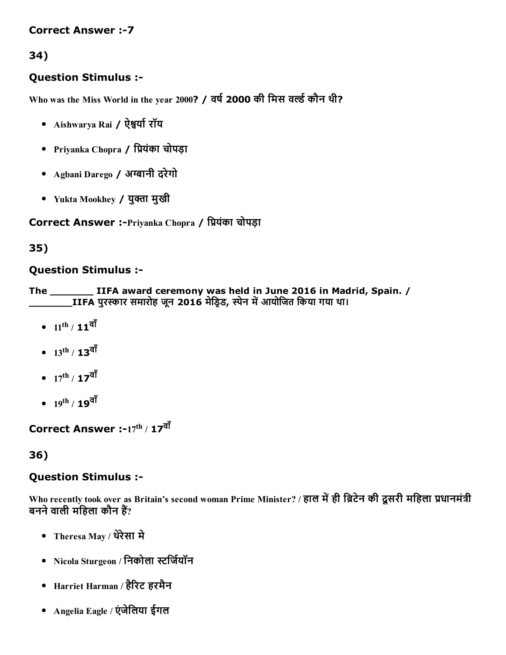#### **Correct Answer :-7**

## 34)

#### Question Stimulus :

Who was the Miss World in the year 2000? / वर्ष 2000 की मिस वर्ल्ड कौन थी?

- Aishwarya Rai / ऐश्वर्या रॉय
- Priyanka Chopra / प्रियंका चोपड़ा
- Agbani Darego / अग्बानी दरेगो
- Yukta Mookhey / युक्ता मुखी

Correct Answer :-Priyanka Chopra / प्रियंका चोपड़ा

#### 35)

#### Question Stimulus :

The \_\_\_\_\_\_\_ IIFA award ceremony was held in June 2016 in Madrid, Spain. / \_\_\_\_\_\_\_IIFA पुर븀眅ार समारोह जून 2016 मेिड笀帄ड, 笀帄ेन म堀딄आयोिजत िकया गया था।

- $11^{\rm th}$  /  $\mathbf{11}^{\overline{\mathsf{q1}}}$
- $13^{\text{th}}$  /  $\textbf{13}^{\overline{\text{q1}}}$
- $17^{\rm th}$  /  $\textbf{17}^{\overline{\textbf{q1}}}$
- $19^{\text{th}}$  /  $\textbf{19}^{\overline{\text{q1}}}$

Correct Answer :-17 $^{\rm th}$  / 17 $^{\overline{\bf q}{\bf i}}$ 

#### 36)

#### Question Stimulus :

Who recently took over as Britain's second woman Prime Minister? / हाल में ही ब्रिटेन की दूसरी महिला प्रधानमंत्री बनने वाली महिला कौन हैं?

- Theresa May / थरेेसा मे
- Nicola Sturgeon / निकोला स्टर्जियॉन
- Harriet Harman / हैरिट हरमैन
- Angelia Eagle / एंजेिलया ईगल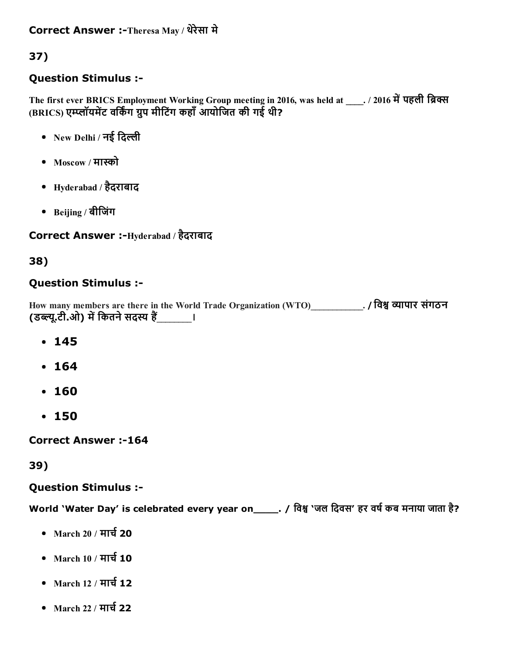## 37)

## Question Stimulus :

The first ever BRICS Employment Working Group meeting in 2016, was held at 2016 में पहली ब्रिक्स (BRICS) एम्प्लॉयमेंट वर्किंग ग्रुप मीटिंग कहाँ आयोजित की गई थी?

- New Delhi / नई िदली
- Moscow / माको
- Hyderabad / हैदराबाद
- Beijing / बीिजंग

## Correct Answer :-Hyderabad / हैदराबाद

## 38)

## Question Stimulus :

How many members are there in the World Trade Organization (WTO)\_\_\_\_\_\_\_\_\_\_\_\_. / िव㘆 ᴁ뀅ापार संगठन (डब्ल्यू.टी.ओ) में कितने सदस्य हैं बाल का

- $-145$
- 164
- 160
- 150

**Correct Answer :-164** 

## 39)

## Question Stimulus :

World 'Water Day' is celebrated every year on\_\_\_\_\_. / विश्व 'जल दिवस' हर वर्ष कब मनाया जाता है?

- $\bullet$  March 20 / मार्च 20
- $\bullet$  March 10 / मार्च 10
- March 12 / मार्च 12
- $\bullet$  March 22 / मार्च 22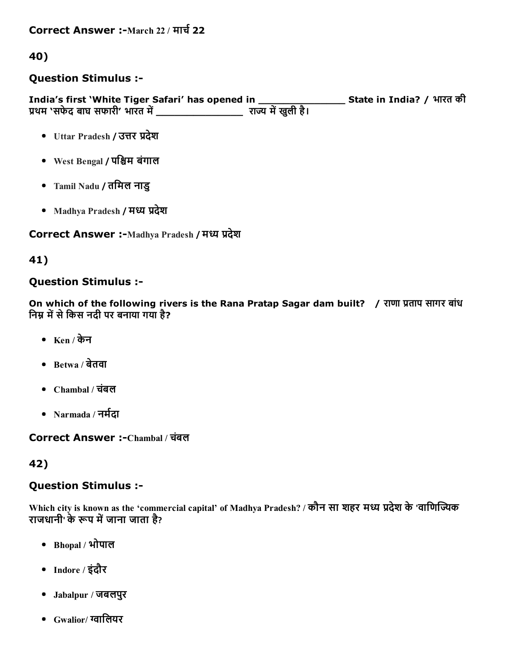Correct Answer :-March 22 / मार्च 22

40)

#### Question Stimulus :

India's first 'White Tiger Safari' has opened in \_\_\_\_\_\_\_\_\_\_\_\_\_\_ State in India? / भारत की प्रथम 'सफेद बाघ सफारी' भारत में \_\_\_\_\_\_\_\_\_\_\_\_\_\_\_\_\_\_\_\_\_ राज्य में खुली है।

- Uttar Pradesh / उत्तर प्रदेश
- West Bengal / पश्चिम बंगाल
- Tamil Nadu / तिमल नाडु
- Madhya Pradesh / मध्य प्रदेश

Correct Answer :- Madhya Pradesh / मध्य प्रदेश

#### 41)

### Question Stimulus :

On which of the following rivers is the Rana Pratap Sagar dam built? / राणा प्रताप सागर बांध निम्न में से किस नदी पर बनाया गया है?

- Ken / केन
- $\bullet$  Betwa / बेतवा
- Chambal / चबंल
- Narmada / नर्मदा

Correct Answer :Chambal / चबंल

#### 42)

#### Question Stimulus :

Which city is known as the 'commercial capital' of Madhya Pradesh? / कौन सा शहर मध्य प्रदेश के 'वाणिज्यिक राजधानी' के रूप में जाना जाता है?

- Bhopal / भोपाल
- Indore / इंदौर
- Jabalpur / जबलपुर
- $\bullet$  Gwalior/ ग्वालियर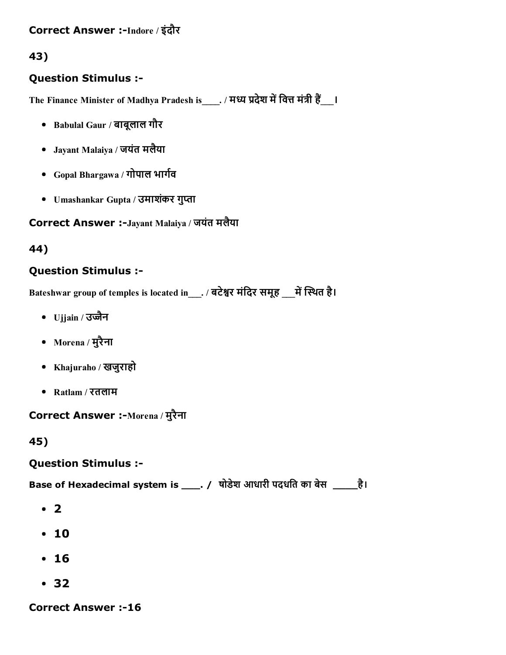## Correct Answer :-Indore / इंदौर

43)

### Question Stimulus :

The Finance Minister of Madhya Pradesh is \_\_\_. / मध्य प्रदेश में वित्त मंत्री हैं \_\_\_।

- Babulal Gaur / बाबूलाल गौर
- Jayant Malaiya / जयंत मलैया
- Gopal Bhargawa / गोपाल भार्गव
- Umashankar Gupta / उमाशंकर गुप्ता

#### Correct Answer :-Jayant Malaiya / जयंत मलैया

44)

### Question Stimulus :

Bateshwar group of temples is located in\_\_\_. / बटेश्वर मंदिर समूह \_\_\_ में स्थित है।

- Ujjain / उज्जैन
- Morena / मुरैना
- Khajuraho / खजुराहो
- Ratlam / रतलाम

Correct Answer :-Morena / मुरैना

45)

#### Question Stimulus :

Base of Hexadecimal system is \_\_\_\_. / षोडेश आधारी पदधति का बेस \_\_\_\_\_है।

- $\cdot$  2
- 10
- 16
- 32

**Correct Answer :-16**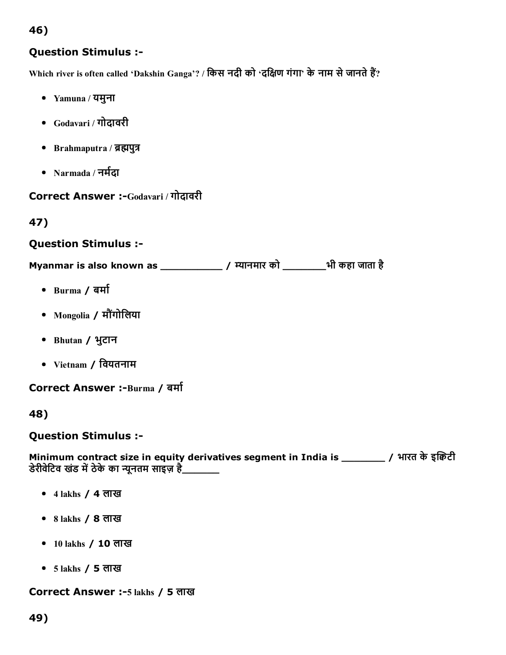## 46)

### Question Stimulus :

Which river is often called 'Dakshin Ganga'? / किस नदी को 'दक्षिण गंगा' के नाम से जानते हैं?

- Yamuna / यमुना
- Godavari / गोदावरी
- Brahmaputra / ब्रह्मपुत्र
- Narmada / नर्मदा

Correct Answer :-Godavari / गोदावरी

## 47)

#### Question Stimulus :

Myanmar is also known as \_\_\_\_\_\_\_\_\_\_\_\_\_\_\_ / म्यानमार को \_\_\_\_\_\_\_\_\_भी कहा जाता है

- $\bullet$  Burma / बर्मा
- Mongolia / मौगंोिलया
- Bhutan / भुटान
- Vietnam / िवयतनाम

Correct Answer :-Burma / बर्मा

48)

Question Stimulus :

Minimum contract size in equity derivatives segment in India is \_\_\_\_\_\_\_\_\_\_\_ / भारत के इकिटी डेरीवेटिव खंड में ठेके का न्यूनतम साइज़ है\_\_\_\_\_\_\_

- 4 lakhs / 4 लाख
- 8 lakhs / 8 लाख
- 10 lakhs / 10 लाख
- 5 lakhs / 5 लाख

Correct Answer :-5 lakhs / 5 लाख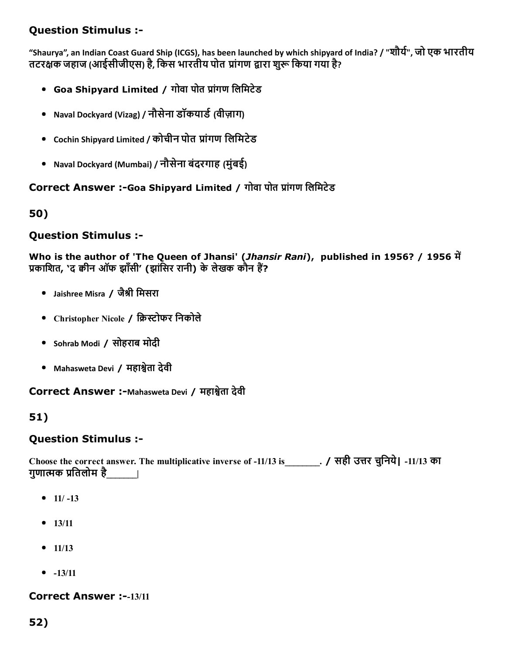## Question Stimulus :

"Shaurya", an Indian Coast Guard Ship (ICGS), has been launched by which shipyard of India? / "शौर्य", जो एक भारतीय तटरक्षक जहाज (आईसीजीएस) है, किस भारतीय पोत प्रांगण द्वारा शरू किया गया है?

- Goa Shipyard Limited / गोवा पोत प्रांगण लिमिटेड
- Naval Dockyard (Vizag) / नौसेना डॉकयार्ड (वीज़ाग)
- Cochin Shipyard Limited / कोचीन पोत प्रांगण लिमिटेड
- Naval Dockyard (Mumbai) / नौसेना बंदरगाह (मुंबई)

#### Correct Answer :-Goa Shipyard Limited / गोवा पोत प्रांगण लिमिटेड

50)

### Question Stimulus :

Who is the author of 'The Queen of Jhansi' (*Jhansir Rani*), published in 1956? / 1956 में प्रकाशित, 'द क्वीन ऑफ झाँसी' (झांसिर रानी) के लेखक कौन हैं?

- Jaishree Misra / जैश्री मिसरा
- Christopher Nicole / क्रिस्टोफर निकोले
- Sohrab Modi / सोहराब मोदी
- Mahasweta Devi / महाश्वेता देवी

Correct Answer :-Mahasweta Devi / महाश्वेता देवी

## 51)

#### Question Stimulus :

Choose the correct answer. The multiplicative inverse of 11/13 is\_\_\_\_\_\_\_\_. / सही उ븀옆र चिुनये| 11/13 का गुणात्मक प्रतिलोम है \_\_\_\_\_|

- $11/-13$
- $13/11$
- $-11/13$
- $-13/11$

#### Correct Answer :--13/11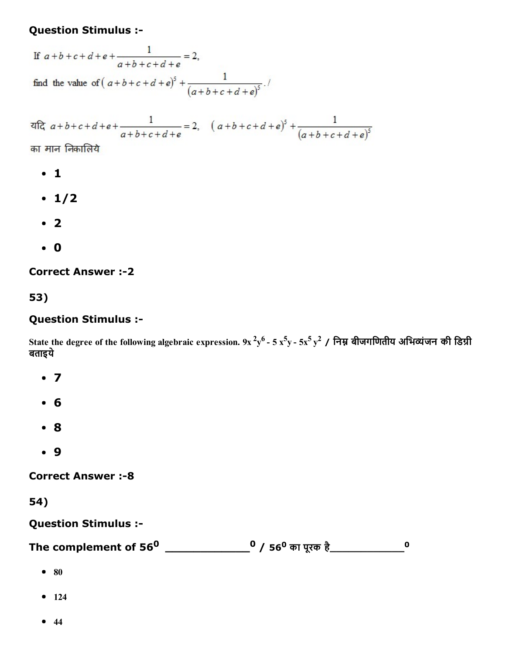#### Question Stimulus :

If  $a+b+c+d+e+\frac{1}{a+b+c+d+e}=2$ , find the value of  $(a+b+c+d+e)^5 + \frac{1}{(a+b+c+d+e)^5}$ .

 $\frac{1}{a+b+c+d+e+\frac{1}{a+b+c+d+e}} = 2, \quad (a+b+c+d+e)^5 + \frac{1}{(a+b+c+d+e)^5}$ 

का मान निकालिये

- 1
- $\cdot$  1/2
- $\cdot$  2
- 0

**Correct Answer :-2** 

53)

#### Question Stimulus :

State the degree of the following algebraic expression. 9x <sup>2</sup>y<sup>6</sup> - 5 x<sup>5</sup>y - 5x<sup>5</sup> y<sup>2</sup> / निम्न बीजगणितीय अभिव्यंजन की डिग्री बताइये

- $\bullet$  7
- 6
- 8
- 9

**Correct Answer :-8** 

#### 54)

Question Stimulus :

The complement of 56<sup>0</sup> \_\_\_\_\_\_\_\_\_\_\_\_\_\_\_\_0 / 56<sup>0</sup> का पूरक है\_\_\_\_\_\_\_\_\_\_\_\_\_\_\_\_( 0

- $80$
- $124$
- $44$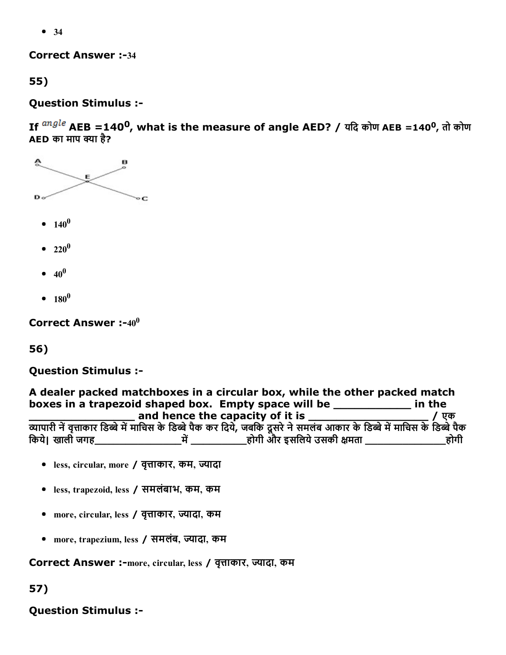• 34

**Correct Answer :-34** 

55)

Question Stimulus :

If  $\frac{angle}{}$  AEB =140<sup>0</sup>, what is the measure of angle AED? / यदि कोण AEB =140<sup>0</sup>, तो कोण AED का माप क्या है?



- $140^0$
- $220^0$
- $40^0$
- $180^0$

Correct Answer :- $40^0$ 

56)

Question Stimulus :

| A dealer packed matchboxes in a circular box, while the other packed match                                                |      |  |
|---------------------------------------------------------------------------------------------------------------------------|------|--|
| boxes in a trapezoid shaped box. Empty space will be _________<br>in the                                                  |      |  |
| and hence the capacity of it is                                                                                           | एक   |  |
| व्यापारी नें वृत्ताकार डिब्बे में माचिस के डिब्बे पैक कर दिये, जबकि दूसरे ने समलंब आकार के डिब्बे में माचिस के डिब्बे पैक |      |  |
| होगी और इसलिये उसकी क्षमता _<br>किये। खाली जगह                                                                            | होगी |  |

- less, circular, more / वृत्ताकार, कम, ज्यादा
- less, trapezoid, less / समलंबाभ, कम, कम
- more, circular, less / वृत्ताकार, ज्यादा, कम
- more, trapezium, less / समलंब, ज्यादा, कम

Correct Answer :-more, circular, less / वृत्ताकार, ज्यादा, कम

57)

Question Stimulus :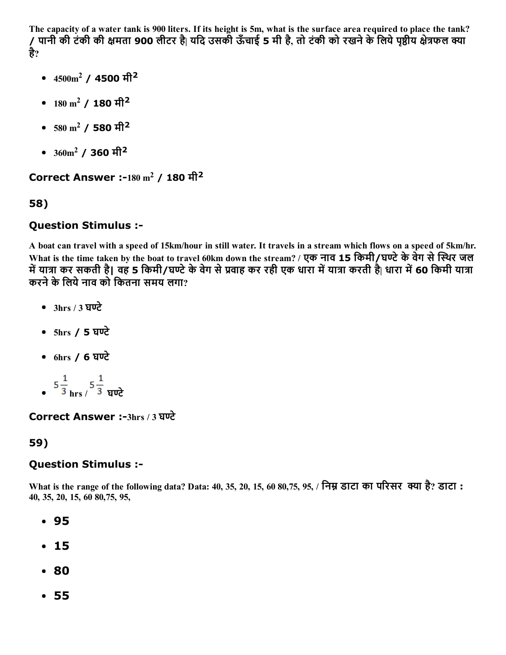The capacity of a water tank is 900 liters. If its height is 5m, what is the surface area required to place the tank? पानी की टंकी की क्षमता 900 लीटर है| यदि उसकी ऊँचाई 5 मी है, तो टंकी को रखने के लिये पृष्ठीय क्षेत्रफल क्या है?

- $4500 \mathrm{m}^2$  / 4500 मी $^2$
- $180 \text{ m}^2$  /  $180 \text{ H}^2$
- $580~\mathrm{m^2}$  /  $\,$ 580 मी $^2$
- $360\rm{m}^2$  / 360 मी $^2$

Correct Answer :-180  $\mathrm{m}^{2}$  / 180 मी $^{2}$ 

## 58)

## Question Stimulus :

A boat can travel with a speed of 15km/hour in still water. It travels in a stream which flows on a speed of 5km/hr. What is the time taken by the boat to travel 60km down the stream? / एक नाव 15 किमी/घण्टे के वेग से स्थिर जल में यात्रा कर सकती है| वह 5 किमी/घण्टे के वेग से प्रवाह कर रही एक धारा में यात्रा करती है| धारा में 60 किमी यात्रा करने के लिये नाव को कितना समय लगा?

- $\bullet$  3hrs / 3 घण्टे
- 5hrs / 5 घण्टे
- 6hrs / 6 घण्टे
- $=$   $5\frac{1}{3}$  hrs  $/$   $5\frac{1}{3}$  घण्टे

Correct Answer :-3hrs / 3 घण्टे

## 59)

## Question Stimulus :

What is the range of the following data? Data: 40, 35, 20, 15, 60 80,75, 95, / निम्न डाटा का परिसर क्या है? डाटा : 40, 35, 20, 15, 60 80,75, 95,

- 95
- 15
- 80
- 55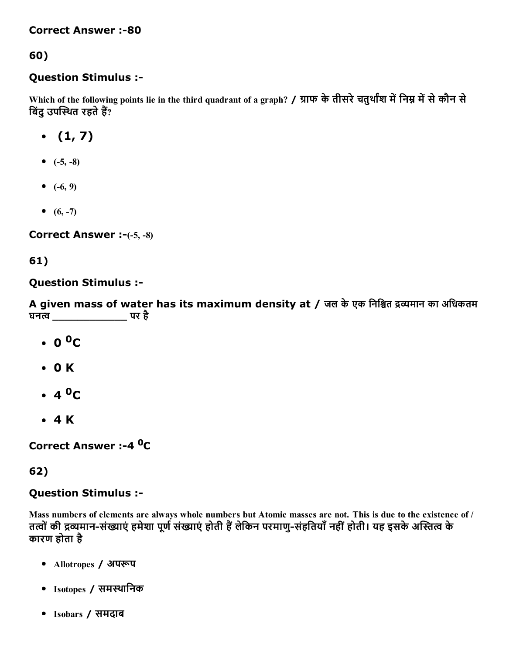#### **Correct Answer :-80**

## 60)

#### Question Stimulus :

Which of the following points lie in the third quadrant of a graph? / ग्राफ के तीसरे चतुर्थांश में निम्न में से कौन से बिंदु उपस्थित रहते हैं?

- $(1, 7)$
- $(-5, -8)$
- $(-6, 9)$
- $(6, -7)$

Correct Answer  $: (-5, -8)$ 

## 61)

#### Question Stimulus :

A given mass of water has its maximum density at / जल के एक निश्चित द्रव्यमान का अधिकतम घनत्व \_\_\_\_\_\_\_\_\_\_\_\_\_\_\_\_\_\_\_\_\_\_ पर है

- $0^{\,0}C$
- 0 K
- 4 <sup>0</sup>C
- 4 K

Correct Answer :-4 <sup>0</sup>C

## 62)

## Question Stimulus :

Mass numbers of elements are always whole numbers but Atomic masses are not. This is due to the existence of / तत्वों की द्रव्यमान-संख्याएं हमेशा पूर्ण संख्याएं होती हैं लेकिन परमाणु-संहतियाँ नहीं होती। यह इसके अस्तित्व के कारण होता है

- Allotropes / अपरूप
- Isotopes / समथािनक
- Isobars / समदाब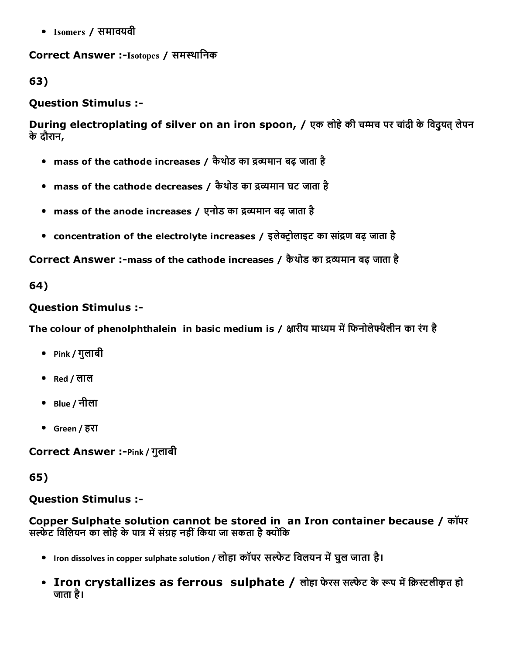Isomers / समावयवी

## Correct Answer :-Isotopes / समस्थानिक

63)

#### Question Stimulus :

During electroplating of silver on an iron spoon, / एक लोहे की चम्मच पर चांदी के विद्यत् लेपन केदौरान,

- $\,$  mass of the cathode increases / कैथोड का द्रव्यमान बढ़ जाता है
- $\,$  mass of the cathode decreases / कैथोड का द्रव्यमान घट जाता है
- $\,$  mass of the anode increases / एनोड का द्रव्यमान बढ़ जाता है
- concentration of the electrolyte increases / इलेक्ट्रोलाइट का सांद्रण बढ़ जाता है

Correct Answer :-mass of the cathode increases / कैथोड का द्रव्यमान बढ़ जाता है

64)

#### Question Stimulus :

The colour of phenolphthalein in basic medium is / क्षारीय माध्यम में फिनोलेफ्थैलीन का रंग है

- Pink / गुलाबी
- Red / लाल
- Blue / नीला
- Green / हरा

Correct Answer :-Pink / गुलाबी

65)

#### Question Stimulus :

Copper Sulphate solution cannot be stored in an Iron container because / कॉपर सल्फेट विलियन का लोहे के पात्र में संग्रह नहीं किया जा सकता है क्योंकि

- Iron dissolves in copper sulphate solution / लोहा कॉपर सल्फेट विलयन में घुल जाता है।
- Iron crystallizes as ferrous sulphate / लोहा फेरस सल्फेट के रूप में क्रिस्टलीकृत हो जाता है।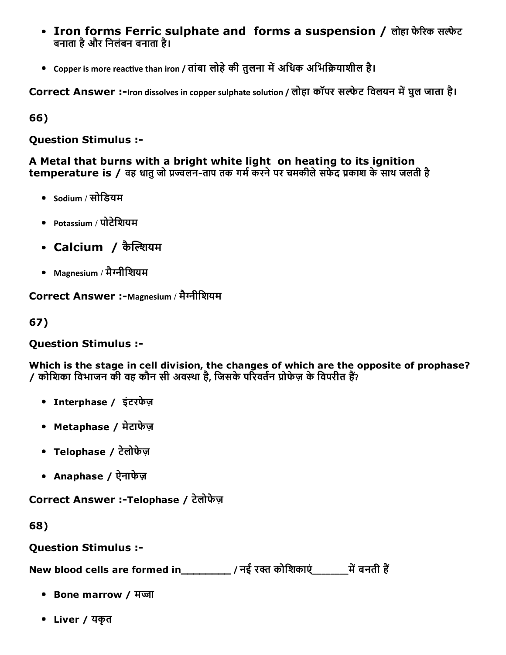- Iron forms Ferric sulphate and forms a suspension / लोहा फेरिक सल्फेट बनाता हैऔर िनलंबन बनाता है।
- Copper is more reactive than iron / तांबा लोहे की तुलना में अधिक अभिक्रियाशील है।

Correct Answer :-Iron dissolves in copper sulphate solution / लोहा कॉपर सल्फेट विलयन में घुल जाता है।

66)

Question Stimulus :

A Metal that burns with a bright white light on heating to its ignition temperature is / वह धातु जो प्रज्वलन-ताप तक गर्म करने पर चमकीले सफेद प्रकाश के साथ जलती है

- Sodium / सोडियम
- Potassium / पोटेिशयम
- Calcium / कैल्शियम
- Magnesium / मैनीिशयम

Correct Answer :-Magnesium / मैग्नीशियम

67)

## Question Stimulus :

Which is the stage in cell division, the changes of which are the opposite of prophase? ल्लो का सारा करने की कार्य करने की कार्य करने हुए किसी के लिए कि विपरीत हैं?<br>या कोशिका विभाजन की वह कौन सी अवस्था है, जिसके परिवर्तन प्रोफेज़ के विपरीत हैं?

- Interphase / इंटरफेज़
- Metaphase / मेटाफेज़
- Telophase / टेलोफेज़
- Anaphase / ऐनाफेज़

Correct Answer :-Telophase / टेलोफेज़

68)

Question Stimulus :

New blood cells are formed in\_\_\_\_\_\_\_\_\_\_\_ / नई रक्त कोशिकाएं\_\_\_\_\_\_\_\_\_ में बनती हैं

- Bone marrow / मज्जा
- Liver / यकृत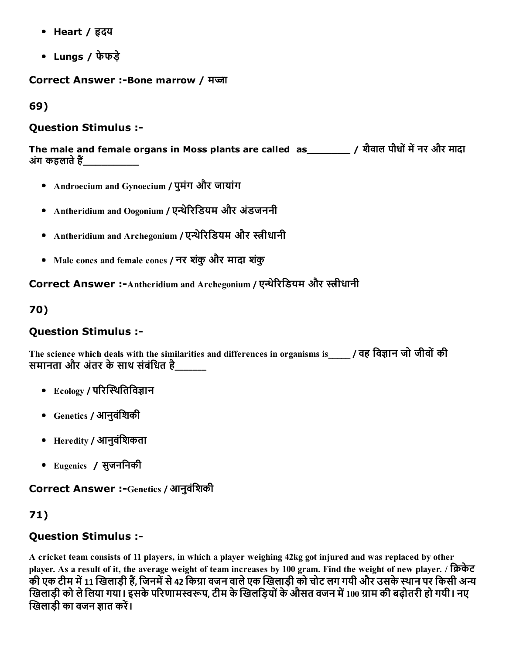- Heart / हृदय
- Lungs / फेफड़े

Correct Answer :-Bone marrow / मज़ा

69)

### Question Stimulus :

The male and female organs in Moss plants are called as\_\_\_\_\_\_\_ / शैवाल पौधों में नर और मादा अंग कहलाते हैं

- Androecium and Gynoecium / पुमंग और जायांग
- Antheridium and Oogonium / एन्थेरिडियम और अंडजननी
- Antheridium and Archegonium / एन्थेरिडियम और स्त्रीधानी
- Male cones and female cones / नर शकंुऔर मादा शकंु

Correct Answer :-Antheridium and Archegonium / एन्थेरिडियम और स्त्रीधानी

70)

## Question Stimulus :

The science which deals with the similarities and differences in organisms is\_\_\_\_\_ / वह विज्ञान जो जीवों की समानता और अंतर के साथ संबंधित है

- $\bullet$  Ecology / परिस्थितिविज्ञान
- Genetics / आनुवंिशकी
- $\bullet$  Heredity / आनुवंशिकता
- Eugenics / सुजनिनकी

Correct Answer :-Genetics / आनुवंशिकी

71)

## Question Stimulus :

A cricket team consists of 11 players, in which a player weighing 42kg got injured and was replaced by other player. As a result of it, the average weight of team increases by 100 gram. Find the weight of new player. / क्रिकेट की एक टीम में 11 खिलाड़ी हैं, जिनमें से 42 किग्रा वजन वाले एक खिलाड़ी को चोट लग गयी और उसके स्थान पर किसी अन्य खिलाड़ी को ले लिया गया। इसके परिणामस्वरूप, टीम के खिलड़ियों के औसत वजन में 100 ग्राम की बढ़ोतरी हो गयी। नए खिलाडी का वजन ज्ञात करें।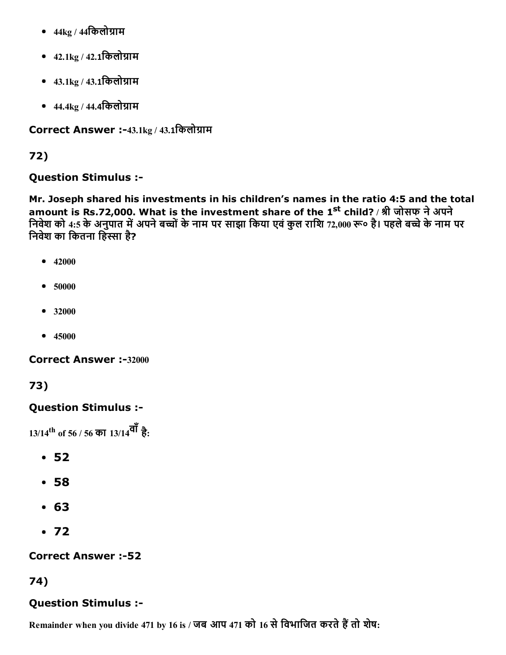- $\bullet$  44kg / 44किलोग्राम
- $42.1\text{kg}$  /  $42.1\text{cm}$  लोग्राम
- $43.1 \text{kg} / 43.1$ किलोग्राम
- $44.4 \text{kg} / 44.4$ किलोग्राम

Correct Answer :-43.1kg / 43.1किलोग्राम

## 72)

## Question Stimulus :

Mr. Joseph shared his investments in his children's names in the ratio 4:5 and the total amount is Rs.72,000. What is the investment share of the 1<sup>st</sup> child? / श्री जोसफ ने अपने निवेश को 4:5 के अनुपात में अपने बच्चों के नाम पर साझा किया एवं कुल राशि 72,000 रू० है। पहले बच्चे के नाम पर निवेश का कितना हिस्सा है?

- $-42000$
- 50000
- 32000
- $45000$

Correct Answer :-32000

# 73)

## Question Stimulus :

13/14 th of 56 / 56 का 13/14वाँहै:

- 52
- 58
- 63
- $•72$

## **Correct Answer :-52**

## 74)

# Question Stimulus :

Remainder when you divide 471 by 16 is / जब आप 471 को 16 से विभाजित करते हैं तो शेष: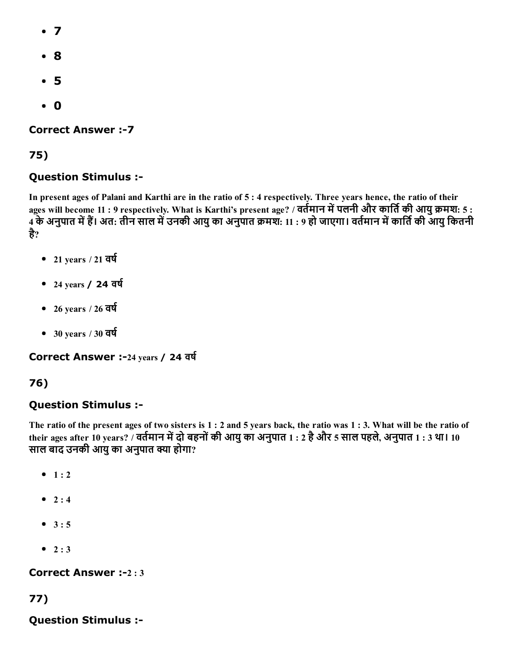- 7
- 8
- 5
- 0

**Correct Answer :- 7** 

### 75)

### Question Stimulus :

In present ages of Palani and Karthi are in the ratio of 5 : 4 respectively. Three years hence, the ratio of their ages will become 11 : 9 respectively. What is Karthi's present age? / वर्तमान में पलनी और कार्ति की आयु क्रमश: 5 : 4 के अनुपात में हैं। अत: तीन साल में उनकी आयु का अनुपात क्रमश: 11 : 9 हो जाएगा। वर्तमान में कार्ति की आयु कितनी है?

- $\bullet$  21 years / 21 वर्ष
- $\bullet$  24 years / 24 वर्ष
- $\bullet$  26 years / 26 वर्ष
- $\bullet$  30 years / 30 वर्ष

Correct Answer :-24 years / 24 वर्ष

## 76)

#### Question Stimulus :

The ratio of the present ages of two sisters is 1 : 2 and 5 years back, the ratio was 1 : 3. What will be the ratio of their ages after 10 years? / वर्तमान में दो बहनों की आयु का अनुपात 1 : 2 है और 5 साल पहले, अनुपात 1 : 3 था। 10 साल बाद उनकी आयु का अनुपात क्या होगा?

- $-1:2$
- $2 : 4$
- $3 : 5$
- $\bullet$  2 : 3

#### Correct Answer :-2:3

## 77)

Question Stimulus :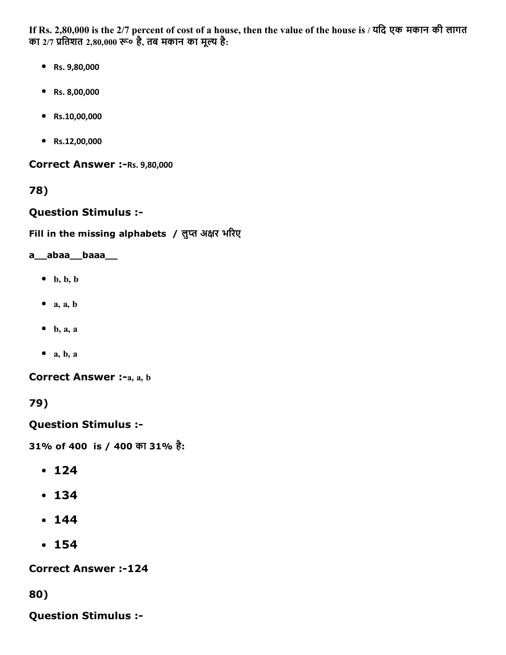If Rs. 2,80,000 is the 2/7 percent of cost of a house, then the value of the house is / यिद एक मकान की लागत का 2/7 प्रतिशत 2,80,000 रू० है, तब मकान का मूल्य है:

- Rs. 9,80,000
- Rs. 8,00,000
- Rs.10,00,000
- Rs.12,00,000

Correct Answer :- Rs. 9,80,000

78)

Question Stimulus :

Fill in the missing alphabets / लुप्त अक्षर भरिए

#### a\_\_abaa\_\_baaa\_\_

- $\bullet$  b, b, b
- $\bullet$  a, a, b
- $\bullet$  b, a, a
- $\bullet$  a, b, a

Correct Answer :-a, a, b

79)

Question Stimulus :

31% of 400 is / 400 का 31% है:

- $-124$
- 134
- $144$
- 154

**Correct Answer :-124** 

80)

Question Stimulus :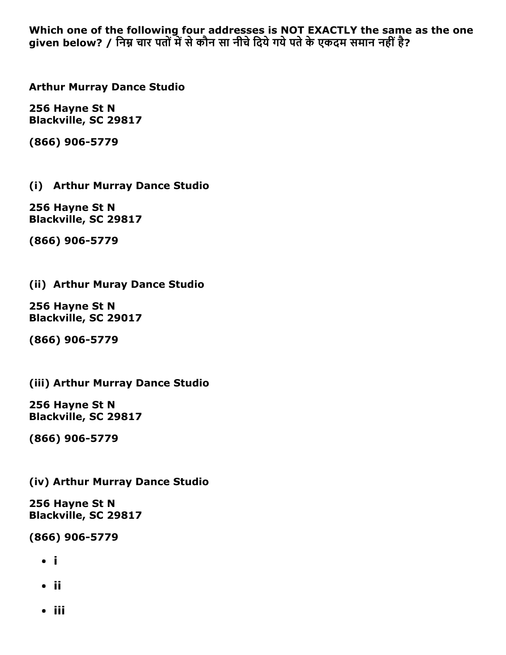Which one of the following four addresses is NOT EXACTLY the same as the one given below? / निम्न चार पतों में से कौन सा नीचे दिये गये पते के एकदम समान नहीं है?

Arthur Murray Dance Studio

256 Hayne St N Blackville, SC 29817

(866) 906-5779

(i) Arthur Murray Dance Studio

256 Hayne St N Blackville, SC 29817

(866) 906-5779

#### (ii) Arthur Muray Dance Studio

256 Hayne St N Blackville, SC 29017

(866) 906-5779

(iii) Arthur Murray Dance Studio

256 Hayne St N Blackville, SC 29817

(866) 906-5779

(iv) Arthur Murray Dance Studio

256 Hayne St N Blackville, SC 29817

(866) 906-5779

- i
- ii
- iii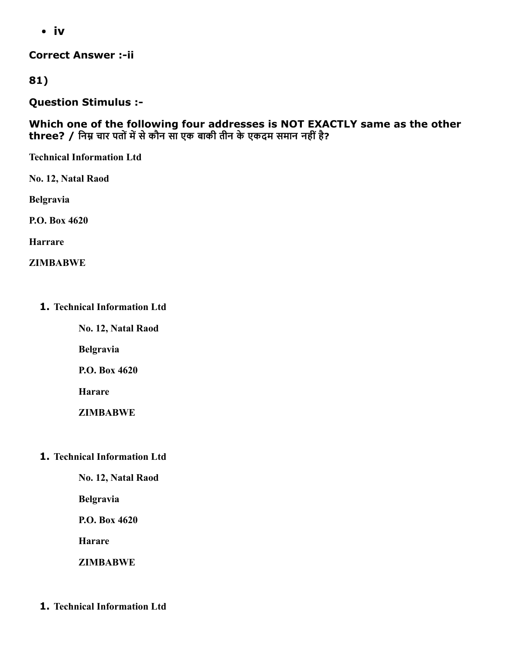iv

**Correct Answer :- ii** 

81)

Question Stimulus :

Which one of the following four addresses is NOT EXACTLY same as the other three? / निम्न चार पतों में से कौन सा एक बाकी तीन के एकदम समान नहीं है?

Technical Information Ltd

No. 12, Natal Raod

Belgravia

P.O. Box 4620

Harrare

ZIMBABWE

1. Technical Information Ltd

No. 12, Natal Raod

Belgravia

P.O. Box 4620

Harare

ZIMBABWE

1. Technical Information Ltd

No. 12, Natal Raod

Belgravia

P.O. Box 4620

Harare

**ZIMBABWE** 

1. Technical Information Ltd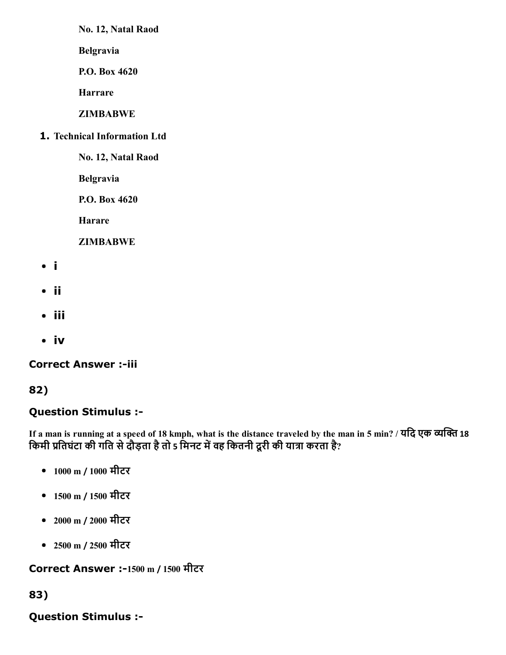No. 12, Natal Raod

Belgravia

P.O. Box 4620

Harrare

**ZIMBABWE** 

1. Technical Information Ltd

No. 12, Natal Raod

Belgravia

P.O. Box 4620

Harare

ZIMBABWE

- i
- ii
- iii
- iv

## **Correct Answer :-iii**

# 82)

# Question Stimulus :

If a man is running at a speed of 18 kmph, what is the distance traveled by the man in 5 min? / यदि एक व्यक्ति 18 किमी प्रतिघंटा की गति से दौड़ता है तो 5 मिनट में वह कितनी दूरी की यात्रा करता है?

- 1000 m / 1000 मीटर
- 1500 m / 1500 मीटर
- 2000 m / 2000 मीटर
- 2500 m / 2500 मीटर

Correct Answer :-1500 m / 1500 मीटर

## 83)

# Question Stimulus :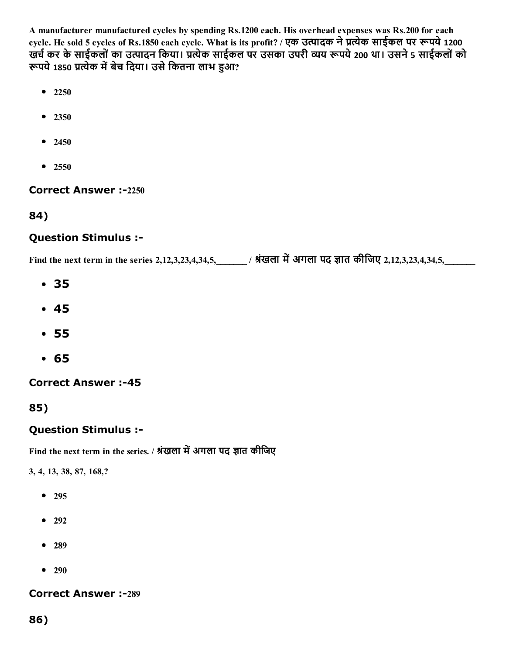A manufacturer manufactured cycles by spending Rs.1200 each. His overhead expenses was Rs.200 for each cycle. He sold 5 cycles of Rs.1850 each cycle. What is its profit? / एक उत्पादक ने प्रत्येक साईकल पर रूपये 1200 खर्च कर के साईकलों का उत्पादन किया। प्रत्येक साईकल पर उसका उपरी व्यय रूपये 200 था। उसने 5 साईकलों को रूपये 1850 प्रत्येक में बेच दिया। उसे कितना लाभ हुआ?

- $2250$
- 2350
- $2450$
- 2550

#### **Correct Answer :-2250**

84)

#### Question Stimulus :

Find the next term in the series 2,12,3,23,4,34,5,\_\_\_\_\_\_\_ / श्रंखला में अगला पद ज्ञात कीजिए 2,12,3,23,4,34,5,

- 35
- 45
- 55
- 65

**Correct Answer :-45** 

85)

#### Question Stimulus :

Find the next term in the series. / श्रंखला में अगला पद ज्ञात कीजिए

3, 4, 13, 38, 87, 168,?

- 295
- $292$
- 289
- $290$

**Correct Answer :-289** 

86)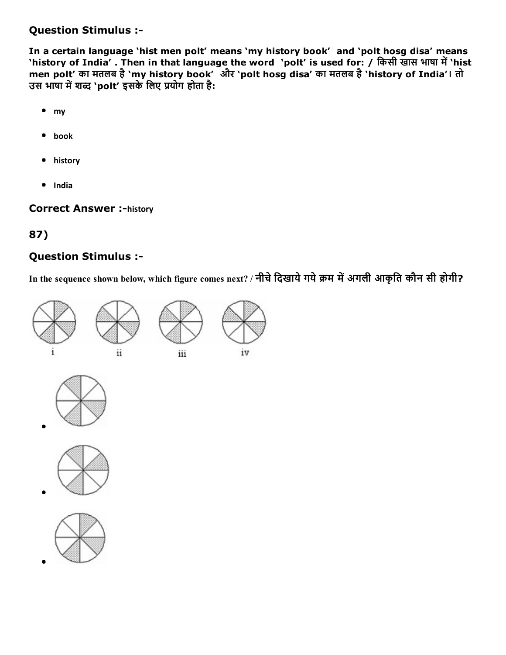#### Question Stimulus :

In a certain language 'hist men polt' means 'my history book' and 'polt hosg disa' means 'history of India' . Then in that language the word 'polt' is used for: / किसी खास भाषा में 'hist men polt' का मतलब है'my history book' और 'polt hosg disa' का मतलब है'history of India'। तो उस भाषा में शब्द `polt' इसके लिए प्रयोग होता है:

- my
- book
- history
- India

**Correct Answer :-history** 

## 87)

#### Question Stimulus :

In the sequence shown below, which figure comes next? / नीचे दिखाये गये क्रम में अगली आकृति कौन सी होगी?







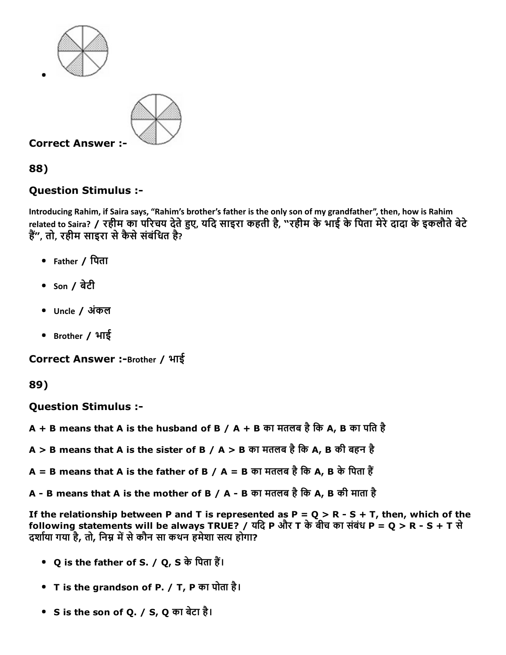



88)

## Question Stimulus :

Introducing Rahim, if Saira says, "Rahim's brother's father is the only son of my grandfather", then, how is Rahim related to Saira? / रहीम का परिचय देते हुए, यदि साइरा कहती है, "रहीम के भाई के पिता मेरे दादा के इकलौते बेटे हैं", तो, रहीम साइरा से कैसे संबंधित है?

- Father / िपता
- $\bullet$  son / बेटी
- Uncle / अंकल
- Brother / भाई

Correct Answer :-Brother / भाई

89)

Question Stimulus :

 $A + B$  means that A is the husband of B / A + B का मतलब है कि A, B का पति है

 $A > B$  means that A is the sister of B / A > B का मतलब है कि A, B की बहन है

 $A = B$  means that A is the father of B / A = B का मतलब है कि A, B के पिता हैं

A - B means that A is the mother of B / A - B का मतलब है कि A, B की माता है

If the relationship between P and T is represented as P = Q > R - S + T, then, which of the following statements will be always TRUE? / यदि P और T के बीच का संबंध P = Q > R - S + T से दर्शाया गया है, तो, निम्न में से कौन सा कथन हमेशा सत्य होगा?

- Q is the father of S. / Q, S के पिता हैं।
- T is the grandson of P. / T, P का पोता है।
- S is the son of Q. / S, Q का बेटा है।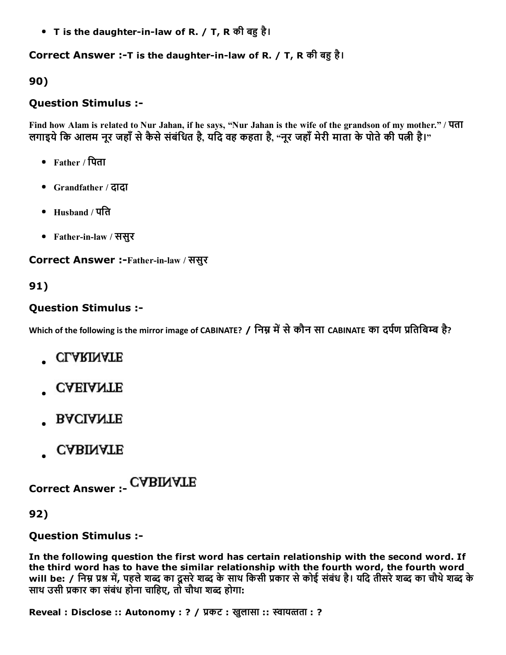• T is the daughter-in-law of R. / T, R की बहु है।

#### Correct Answer :-T is the daughter-in-law of R. / T, R की बहु है।

90)

### Question Stimulus :

Find how Alam is related to Nur Jahan, if he says, "Nur Jahan is the wife of the grandson of my mother." / पता लगाइये कि आलम नूर जहाँ से कैसे संबंधित है, यदि वह कहता है, "नूर जहाँ मेरी माता के पोते की पत्नी है।"

- Father / िपता
- Grandfather / दादा
- Husband / पित
- Father-in-law / ससुर

Correct Answer :-Father-in-law / ससुर

## 91)

## Question Stimulus :

Which of the following is the mirror image of CABINATE? / निम्न में से कौन सा CABINATE का दर्पण प्रतिबिम्ब है?

- **CLARINATE**
- **CAEIANTE**
- **BACIANTE**
- **CABINATE**

Correct Answer :

92)

Question Stimulus :

In the following question the first word has certain relationship with the second word. If the third word has to have the similar relationship with the fourth word, the fourth word will be: / निम्न प्रश्न में, पहले शब्द का दूसरे शब्द के साथ किसी प्रकार से कोई संबंध है। यदि तीसरे शब्द का चौथे शब्द के साथ उसी प्रकार का संबंध होना चाहिए, तो चौथा शब्द होगा:

Reveal : Disclose :: Autonomy : ? / प्रकट : खुलासा :: स्वायत्तता : ?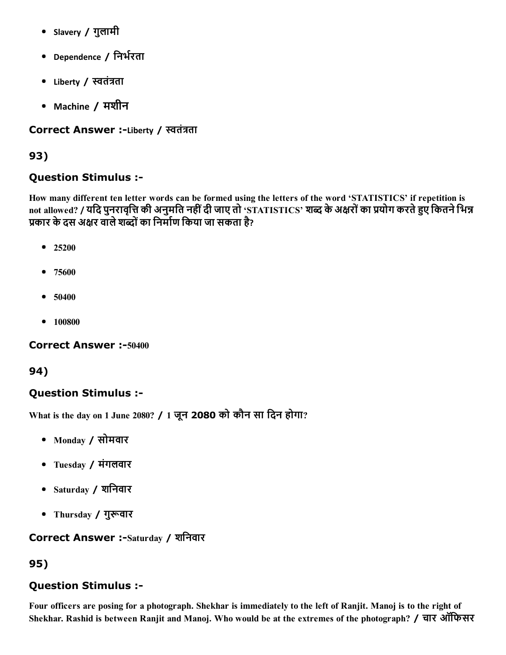- Slavery / गुलामी
- Dependence / निर्भरता
- Liberty / स्वतंत्रता
- Machine / मशीन

### Correct Answer :-Liberty / स्वतंत्रता

## 93)

## Question Stimulus :

How many different ten letter words can be formed using the letters of the word 'STATISTICS' if repetition is not allowed? / यदि पुनरावृत्ति की अनुमति नहीं दी जाए तो 'STATISTICS' शब्द के अक्षरों का प्रयोग करते हुए कितने भिन्न प्रकार के दस अक्षर वाले शब्दों का निर्माण किया जा सकता है?

- $25200$
- 75600
- $50400$
- 100800

Correct Answer :-50400

### 94)

## Question Stimulus :

What is the day on 1 June 2080? / 1 जून 2080 को कौन सा िदन होगा?

- Monday / सोमवार
- Tuesday / मंगलवार
- Saturday / शिनवार
- Thursday / गुरूवार

### Correct Answer :-Saturday / शनिवार

## 95)

### Question Stimulus :

Four officers are posing for a photograph. Shekhar is immediately to the left of Ranjit. Manoj is to the right of Shekhar. Rashid is between Ranjit and Manoj. Who would be at the extremes of the photograph? / चार ऑिफसर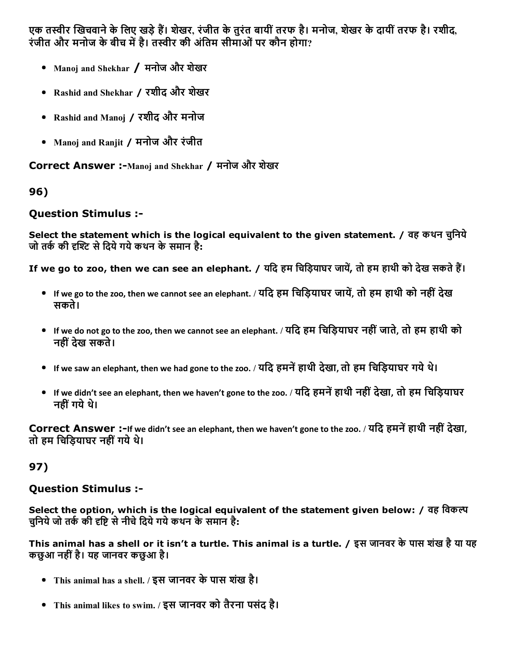एक तस्वीर खिचवाने के लिए खड़े हैं। शेखर, रंजीत के तुरंत बायीं तरफ है। मनोज, शेखर के दायीं तरफ है। रशीद, रंजीत और मनोज के बीच में है। तस्वीर की अंतिम सीमाओं पर कौन होगा?

- Manoj and Shekhar / मनोज और शेखर
- Rashid and Shekhar / रशीद और शखेर
- Rashid and Manoj / रशीद और मनोज
- Manoj and Ranjit / मनोज और रंजीत

Correct Answer :-Manoj and Shekhar / मनोज और शेखर

# 96)

# Question Stimulus :

Select the statement which is the logical equivalent to the given statement. / वह कथन चुनिये जो तर्क की दृश्टि से दिये गये कथन के समान है:

If we go to zoo, then we can see an elephant. / यदि हम चिड़ियाघर जायें, तो हम हाथी को देख सकते हैं।

- If we go to the zoo, then we cannot see an elephant. / यदि हम चिड़ियाघर जायें, तो हम हाथी को नहीं देख सकते।
- If we do not go to the zoo, then we cannot see an elephant. / यिद हम िचिड़याघर नहींजाते, तो हम हाथी को नहींदेख सकते।
- If we saw an elephant, then we had gone to the zoo. / यदि हमनें हाथी देखा, तो हम चिड़ियाघर गये थे।
- If we didn't see an elephant, then we haven't gone to the zoo. / यदि हमनें हाथी नहीं देखा, तो हम चिड़ियाघर नहीं गये थे।

Correct Answer :-If we didn't see an elephant, then we haven't gone to the zoo. / यदि हमनें हाथी नहीं देखा, तो हम चिड़ियाघर नहीं गये थे।

# 97)

## Question Stimulus :

Select the option, which is the logical equivalent of the statement given below: / वह िवक चुनिये जो तर्क की दृष्टि से नीचे दिये गये कथन के समान है:

This animal has a shell or it isn't a turtle. This animal is a turtle. / इस जानवर के पास शंख है या यह कछुआ नहींहै। यह जानवर कछुआ है।

- This animal has a shell. / इस जानवर केपास शखं है।
- This animal likes to swim. / इस जानवर को तैरना पसंद है।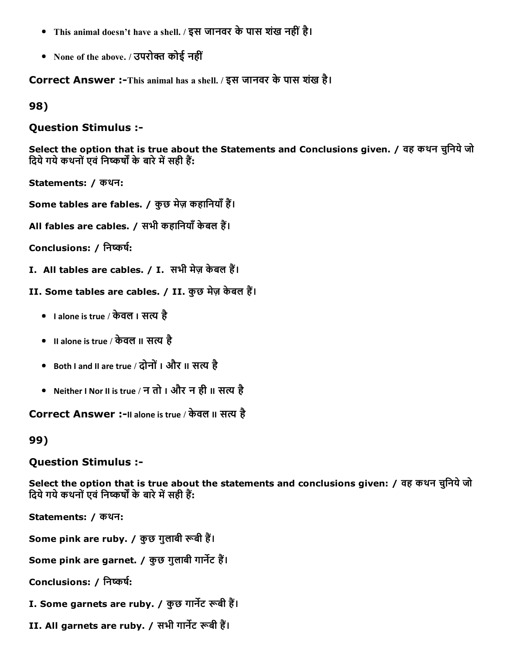- This animal doesn't have a shell. / इस जानवर केपास शखं नहींहै।
- None of the above. / उपरोक्त कोई नहीं

Correct Answer :-This animal has a shell. / इस जानवर के पास शंख है।

98)

Question Stimulus :

Select the option that is true about the Statements and Conclusions given. / वह कथन चुनिये जो दिये गये कथनों एवं निष्कर्षों के बारे में सही हैं:

Statements: / कथन:

Some tables are fables. / कुछ मेज़ कहानियाँ हैं।

All fables are cables. / सभी कहानियाँ केबल हैं।

Conclusions: / निष्कर्ष:

- I. All tables are cables. / I. सभी मेज़ केबल हैं।
- II. Some tables are cables. / II. कुछ मेज़ केबल हैं।
	- I alone is true / केवल I सत्य है
	- II alone is true / केवल II सत्य है
	- Both I and II are true / दोनों I और II सत्य है
	- Neither I Nor II is true / न तो I और न ही II सत्य है

Correct Answer :-II alone is true / केवल II सत्य है

99)

#### Question Stimulus :

Select the option that is true about the statements and conclusions given: / वह कथन चुनिये जो दिये गये कथनों एवं निष्कर्षों के बारे में सही हैं:

Statements: / कथन:

Some pink are ruby. / कुछ गुलाबी रूबी हैं।

Some pink are garnet. / कुछ गुलाबी गार्नेट हैं।

Conclusions: / निष्कर्ष:

I. Some garnets are ruby. / कुछ गार्नेट रूबी हैं।

II. All garnets are ruby. / सभी गार्नेट रूबी हैं।